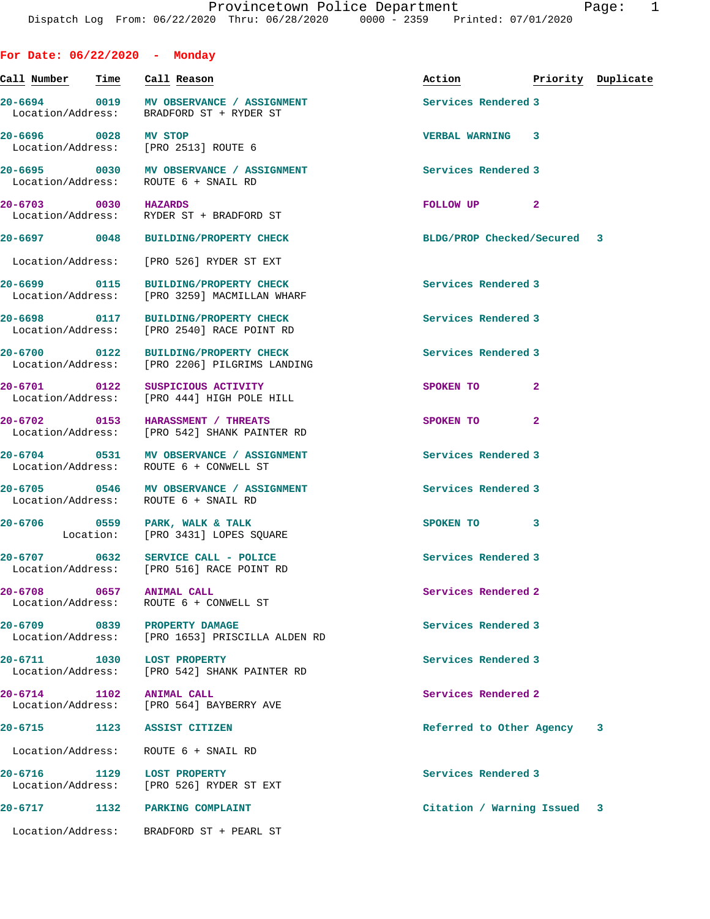| For Date: $06/22/2020$ - Monday  |      |                                                                                       |                                  |                |  |
|----------------------------------|------|---------------------------------------------------------------------------------------|----------------------------------|----------------|--|
| Call Number - Time - Call Reason |      |                                                                                       | Action <b>Priority</b> Duplicate |                |  |
|                                  |      | 20-6694 0019 MV OBSERVANCE / ASSIGNMENT<br>Location/Address: BRADFORD ST + RYDER ST   | Services Rendered 3              |                |  |
| 20-6696 0028 MV STOP             |      | Location/Address: [PRO 2513] ROUTE 6                                                  | <b>VERBAL WARNING 3</b>          |                |  |
|                                  |      | 20-6695 0030 MV OBSERVANCE / ASSIGNMENT<br>Location/Address: ROUTE 6 + SNAIL RD       | Services Rendered 3              |                |  |
| 20-6703 0030 HAZARDS             |      | Location/Address: RYDER ST + BRADFORD ST                                              | FOLLOW UP <sub>2</sub>           |                |  |
|                                  |      | 20-6697 0048 BUILDING/PROPERTY CHECK                                                  | BLDG/PROP Checked/Secured 3      |                |  |
|                                  |      | Location/Address: [PRO 526] RYDER ST EXT                                              |                                  |                |  |
|                                  |      | 20-6699 0115 BUILDING/PROPERTY CHECK<br>Location/Address: [PRO 3259] MACMILLAN WHARF  | Services Rendered 3              |                |  |
|                                  |      | 20-6698 0117 BUILDING/PROPERTY CHECK<br>Location/Address: [PRO 2540] RACE POINT RD    | Services Rendered 3              |                |  |
|                                  |      | 20-6700 0122 BUILDING/PROPERTY CHECK<br>Location/Address: [PRO 2206] PILGRIMS LANDING | Services Rendered 3              |                |  |
| 20-6701 0122                     |      | SUSPICIOUS ACTIVITY<br>Location/Address: [PRO 444] HIGH POLE HILL                     | SPOKEN TO                        | $\mathbf{2}$   |  |
|                                  |      | 20-6702 0153 HARASSMENT / THREATS<br>Location/Address: [PRO 542] SHANK PAINTER RD     | SPOKEN TO                        | $\overline{2}$ |  |
|                                  |      | 20-6704 0531 MV OBSERVANCE / ASSIGNMENT<br>Location/Address: ROUTE 6 + CONWELL ST     | Services Rendered 3              |                |  |
|                                  |      | 20-6705 0546 MV OBSERVANCE / ASSIGNMENT<br>Location/Address: ROUTE 6 + SNAIL RD       | Services Rendered 3              |                |  |
|                                  |      | 20-6706 0559 PARK, WALK & TALK<br>Location: [PRO 3431] LOPES SOUARE                   | SPOKEN TO                        | 3              |  |
| Location/Address:                |      | 20-6707 0632 SERVICE CALL - POLICE<br>[PRO 516] RACE POINT RD                         | Services Rendered 3              |                |  |
| 20-6708 0657 ANIMAL CALL         |      | Location/Address: ROUTE 6 + CONWELL ST                                                | Services Rendered 2              |                |  |
|                                  |      | 20-6709 0839 PROPERTY DAMAGE<br>Location/Address: [PRO 1653] PRISCILLA ALDEN RD       | Services Rendered 3              |                |  |
| 20-6711 1030 LOST PROPERTY       |      | Location/Address: [PRO 542] SHANK PAINTER RD                                          | Services Rendered 3              |                |  |
| 20-6714 1102 ANIMAL CALL         |      | Location/Address: [PRO 564] BAYBERRY AVE                                              | Services Rendered 2              |                |  |
|                                  |      | 20-6715 1123 ASSIST CITIZEN                                                           | Referred to Other Agency 3       |                |  |
|                                  |      | Location/Address: ROUTE 6 + SNAIL RD                                                  |                                  |                |  |
| 20-6716 1129 LOST PROPERTY       |      | Location/Address: [PRO 526] RYDER ST EXT                                              | Services Rendered 3              |                |  |
| 20-6717                          | 1132 | PARKING COMPLAINT                                                                     | Citation / Warning Issued 3      |                |  |

Location/Address: BRADFORD ST + PEARL ST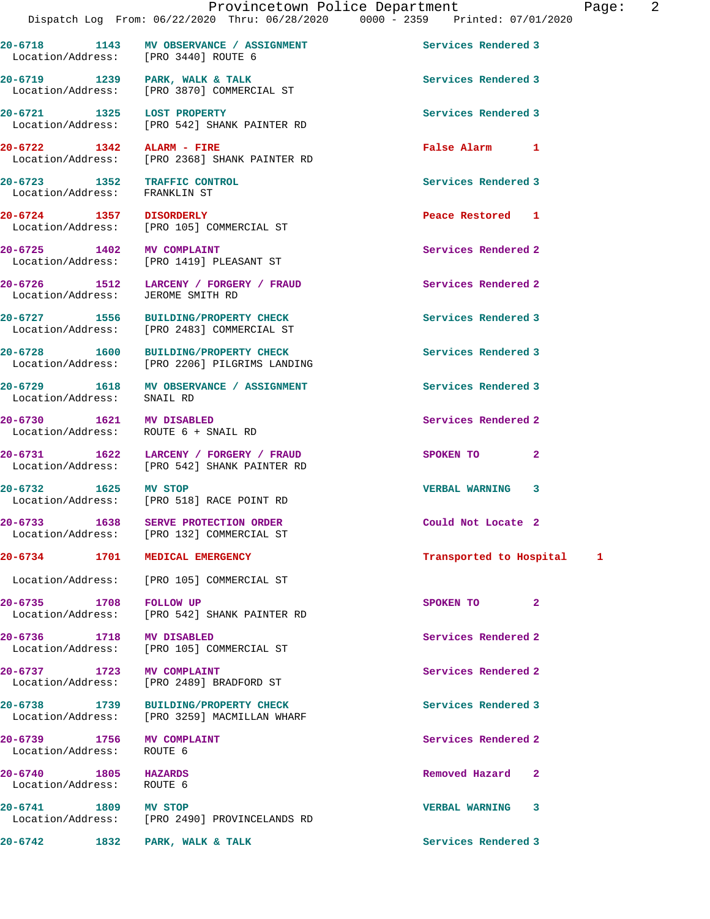**20-6718 1143 MV OBSERVANCE / ASSIGNMENT Services Rendered 3** 

20-6719 1239 PARK, WALK & TALK **Services Rendered 3** 

Location/Address: [PRO 3440] ROUTE 6

Location/Address: [PRO 3870] COMMERCIAL ST

**20-6721 1325 LOST PROPERTY Services Rendered 3**  Location/Address: [PRO 542] SHANK PAINTER RD **20-6722 1342 ALARM - FIRE False Alarm 1**  [PRO 2368] SHANK PAINTER RD **20-6723 1352 TRAFFIC CONTROL Services Rendered 3**  Location/Address: FRANKLIN ST **20-6724 1357 DISORDERLY Peace Restored 1**  Location/Address: [PRO 105] COMMERCIAL ST **20-6725 1402 MV COMPLAINT 120 Services Rendered 2**<br>
Location/Address: [PRO 1419] PLEASANT ST [PRO 1419] PLEASANT ST **20-6726 1512 LARCENY / FORGERY / FRAUD Services Rendered 2**  Location/Address: JEROME SMITH RD **20-6727 1556 BUILDING/PROPERTY CHECK Services Rendered 3**  Location/Address: [PRO 2483] COMMERCIAL ST **20-6728 1600 BUILDING/PROPERTY CHECK Services Rendered 3**  Location/Address: [PRO 2206] PILGRIMS LANDING **20-6729 1618 MV OBSERVANCE / ASSIGNMENT Services Rendered 3**  Location/Address: SNAIL RD **20-6730 1621 MV DISABLED Services Rendered 2**  Location/Address: ROUTE 6 + SNAIL RD **20-6731 1622 LARCENY / FORGERY / FRAUD SPOKEN TO 2**  Location/Address: [PRO 542] SHANK PAINTER RD **20-6732 1625 MV STOP VERBAL WARNING 3**  Location/Address: [PRO 518] RACE POINT RD **20-6733 1638 SERVE PROTECTION ORDER Could Not Locate 2**  Location/Address: [PRO 132] COMMERCIAL ST **20-6734 1701 MEDICAL EMERGENCY Transported to Hospital 1** Location/Address: [PRO 105] COMMERCIAL ST **20-6735 1708 FOLLOW UP SPOKEN TO 2**  Location/Address: [PRO 542] SHANK PAINTER RD **20-6736 1718 MV DISABLED Services Rendered 2**  Location/Address: [PRO 105] COMMERCIAL ST **20-6737 1723 MV COMPLAINT Services Rendered 2**  Location/Address: [PRO 2489] BRADFORD ST **20-6738 1739 BUILDING/PROPERTY CHECK Services Rendered 3**  Location/Address: [PRO 3259] MACMILLAN WHARF **20-6739 1756 MV COMPLAINT Services Rendered 2**  Location/Address: ROUTE 6 **20-6740 1805 HAZARDS Removed Hazard 2**  Location/Address: ROUTE 6 **20-6741 1809 MV STOP VERBAL WARNING 3**  [PRO 2490] PROVINCELANDS RD

**20-6742 1832 PARK, WALK & TALK Services Rendered 3**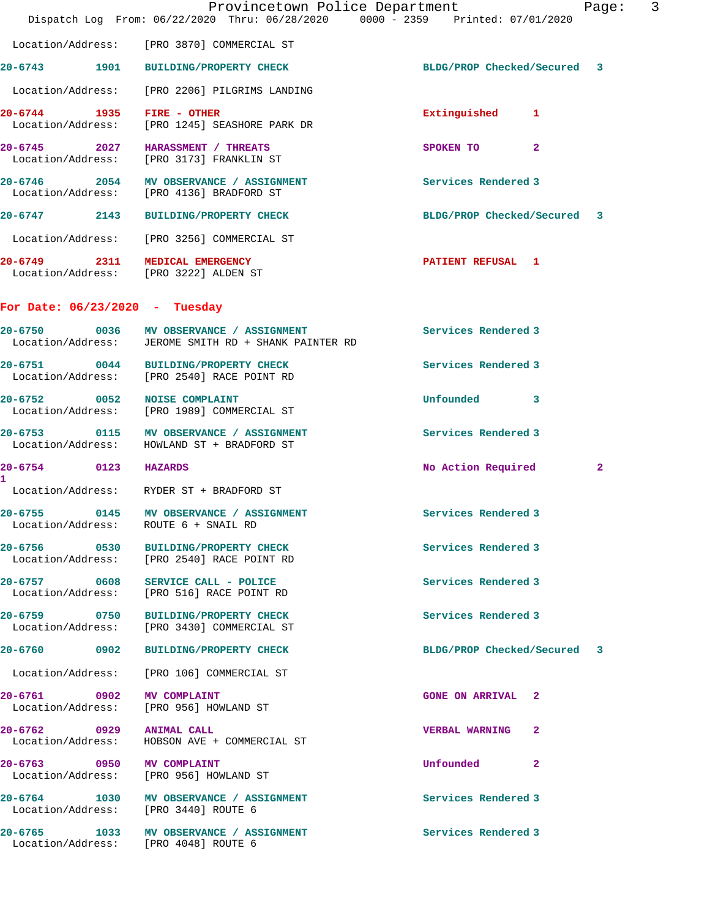|                                      | Provincetown Police Department<br>Dispatch Log From: 06/22/2020 Thru: 06/28/2020 0000 - 2359 Printed: 07/01/2020 | 3<br>Page:                  |
|--------------------------------------|------------------------------------------------------------------------------------------------------------------|-----------------------------|
|                                      | Location/Address: [PRO 3870] COMMERCIAL ST                                                                       |                             |
|                                      | 20-6743 1901 BUILDING/PROPERTY CHECK                                                                             | BLDG/PROP Checked/Secured 3 |
|                                      | Location/Address: [PRO 2206] PILGRIMS LANDING                                                                    |                             |
| 20-6744 1935                         | FIRE - OTHER<br>Location/Address: [PRO 1245] SEASHORE PARK DR                                                    | Extinguished 1              |
|                                      | 20-6745 2027 HARASSMENT / THREATS<br>Location/Address: [PRO 3173] FRANKLIN ST                                    | $\mathbf{2}$<br>SPOKEN TO   |
|                                      | 20-6746 2054 MV OBSERVANCE / ASSIGNMENT<br>Location/Address: [PRO 4136] BRADFORD ST                              | Services Rendered 3         |
| 20-6747 2143                         | <b>BUILDING/PROPERTY CHECK</b>                                                                                   | BLDG/PROP Checked/Secured 3 |
|                                      | Location/Address: [PRO 3256] COMMERCIAL ST                                                                       |                             |
|                                      | 20-6749 2311 MEDICAL EMERGENCY<br>Location/Address: [PRO 3222] ALDEN ST                                          | <b>PATIENT REFUSAL 1</b>    |
| For Date: $06/23/2020 - Tuesday$     |                                                                                                                  |                             |
|                                      | 20-6750 0036 MV OBSERVANCE / ASSIGNMENT<br>Location/Address: JEROME SMITH RD + SHANK PAINTER RD                  | Services Rendered 3         |
|                                      | 20-6751 0044 BUILDING/PROPERTY CHECK<br>Location/Address: [PRO 2540] RACE POINT RD                               | Services Rendered 3         |
| 20-6752 0052 NOISE COMPLAINT         | Location/Address: [PRO 1989] COMMERCIAL ST                                                                       | Unfounded 3                 |
|                                      | 20-6753 0115 MV OBSERVANCE / ASSIGNMENT<br>Location/Address: HOWLAND ST + BRADFORD ST                            | Services Rendered 3         |
| 20-6754 0123 HAZARDS<br>$\mathbf{1}$ |                                                                                                                  | No Action Required<br>2     |
|                                      | Location/Address: RYDER ST + BRADFORD ST                                                                         |                             |
|                                      | 20-6755 0145 MV OBSERVANCE / ASSIGNMENT<br>Location/Address: ROUTE 6 + SNAIL RD                                  | Services Rendered 3         |
|                                      | 20-6756 0530 BUILDING/PROPERTY CHECK<br>Location/Address: [PRO 2540] RACE POINT RD                               | Services Rendered 3         |
|                                      | 20-6757 0608 SERVICE CALL - POLICE<br>Location/Address: [PRO 516] RACE POINT RD                                  | Services Rendered 3         |
|                                      | 20-6759 0750 BUILDING/PROPERTY CHECK<br>Location/Address: [PRO 3430] COMMERCIAL ST                               | Services Rendered 3         |
|                                      | 20-6760 0902 BUILDING/PROPERTY CHECK                                                                             | BLDG/PROP Checked/Secured 3 |
|                                      | Location/Address: [PRO 106] COMMERCIAL ST                                                                        |                             |
|                                      | 20-6761 0902 MV COMPLAINT<br>Location/Address: [PRO 956] HOWLAND ST                                              | <b>GONE ON ARRIVAL 2</b>    |
| 20-6762 0929 ANIMAL CALL             | Location/Address: HOBSON AVE + COMMERCIAL ST                                                                     | VERBAL WARNING 2            |
| 20-6763 0950 MV COMPLAINT            | Location/Address: [PRO 956] HOWLAND ST                                                                           | Unfounded 2                 |
|                                      | 20-6764 1030 MV OBSERVANCE / ASSIGNMENT<br>Location/Address: [PRO 3440] ROUTE 6                                  | Services Rendered 3         |
|                                      | 20-6765 1033 MV OBSERVANCE / ASSIGNMENT<br>Location/Address: [PRO 4048] ROUTE 6                                  | Services Rendered 3         |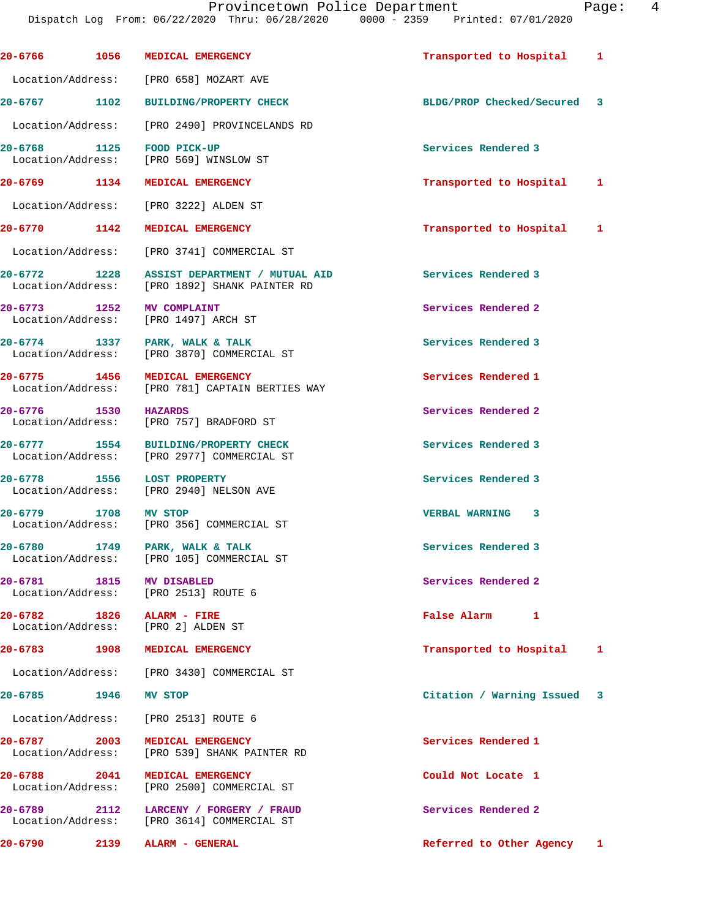|                                   |      | Provincetown Police Department<br>Dispatch Log From: 06/22/2020 Thru: 06/28/2020 0000 - 2359 Printed: 07/01/2020 |                             | Page: | 4 |
|-----------------------------------|------|------------------------------------------------------------------------------------------------------------------|-----------------------------|-------|---|
|                                   |      | 20-6766 1056 MEDICAL EMERGENCY                                                                                   | Transported to Hospital     | 1     |   |
|                                   |      | Location/Address: [PRO 658] MOZART AVE                                                                           |                             |       |   |
|                                   |      | 20-6767 1102 BUILDING/PROPERTY CHECK                                                                             | BLDG/PROP Checked/Secured 3 |       |   |
|                                   |      | Location/Address: [PRO 2490] PROVINCELANDS RD                                                                    |                             |       |   |
|                                   |      | 20-6768 1125 FOOD PICK-UP<br>Location/Address: [PRO 569] WINSLOW ST                                              | Services Rendered 3         |       |   |
|                                   |      | 20-6769 1134 MEDICAL EMERGENCY                                                                                   | Transported to Hospital     | 1     |   |
|                                   |      | Location/Address: [PRO 3222] ALDEN ST                                                                            |                             |       |   |
|                                   |      | 20-6770 1142 MEDICAL EMERGENCY                                                                                   | Transported to Hospital 1   |       |   |
|                                   |      | Location/Address: [PRO 3741] COMMERCIAL ST                                                                       |                             |       |   |
|                                   |      | 20-6772 1228 ASSIST DEPARTMENT / MUTUAL AID<br>Location/Address: [PRO 1892] SHANK PAINTER RD                     | Services Rendered 3         |       |   |
| Location/Address:                 |      | 20-6773 1252 MV COMPLAINT<br>[PRO 1497] ARCH ST                                                                  | Services Rendered 2         |       |   |
|                                   |      | 20-6774 1337 PARK, WALK & TALK<br>Location/Address: [PRO 3870] COMMERCIAL ST                                     | Services Rendered 3         |       |   |
| 20-6775 1456<br>Location/Address: |      | MEDICAL EMERGENCY<br>[PRO 781] CAPTAIN BERTIES WAY                                                               | Services Rendered 1         |       |   |
| 20-6776 1530 HAZARDS              |      | Location/Address: [PRO 757] BRADFORD ST                                                                          | Services Rendered 2         |       |   |
|                                   |      | 20-6777 1554 BUILDING/PROPERTY CHECK<br>Location/Address: [PRO 2977] COMMERCIAL ST                               | Services Rendered 3         |       |   |
| 20-6778                           |      | 1556 LOST PROPERTY<br>Location/Address: [PRO 2940] NELSON AVE                                                    | Services Rendered 3         |       |   |
| 20-6779                           | 1708 | <b>MV STOP</b><br>Location/Address: [PRO 356] COMMERCIAL ST                                                      | VERBAL WARNING 3            |       |   |
|                                   |      | 20-6780 1749 PARK, WALK & TALK<br>Location/Address: [PRO 105] COMMERCIAL ST                                      | Services Rendered 3         |       |   |
|                                   |      | 20-6781 1815 MV DISABLED<br>Location/Address: [PRO 2513] ROUTE 6                                                 | Services Rendered 2         |       |   |
|                                   |      | 20-6782 1826 ALARM - FIRE<br>Location/Address: [PRO 2] ALDEN ST                                                  | False Alarm 1               |       |   |
|                                   |      | 20-6783 1908 MEDICAL EMERGENCY                                                                                   | Transported to Hospital     | ı     |   |
|                                   |      | Location/Address: [PRO 3430] COMMERCIAL ST                                                                       |                             |       |   |
| 20-6785 1946 MV STOP              |      |                                                                                                                  | Citation / Warning Issued 3 |       |   |
| Location/Address:                 |      | [PRO 2513] ROUTE 6                                                                                               |                             |       |   |
| 20-6787 2003                      |      | MEDICAL EMERGENCY<br>Location/Address: [PRO 539] SHANK PAINTER RD                                                | Services Rendered 1         |       |   |
| 20-6788 2041<br>Location/Address: |      | <b>MEDICAL EMERGENCY</b><br>[PRO 2500] COMMERCIAL ST                                                             | Could Not Locate 1          |       |   |
|                                   |      | Location/Address: [PRO 3614] COMMERCIAL ST                                                                       | Services Rendered 2         |       |   |
|                                   |      | 20-6790 2139 ALARM - GENERAL                                                                                     | Referred to Other Agency 1  |       |   |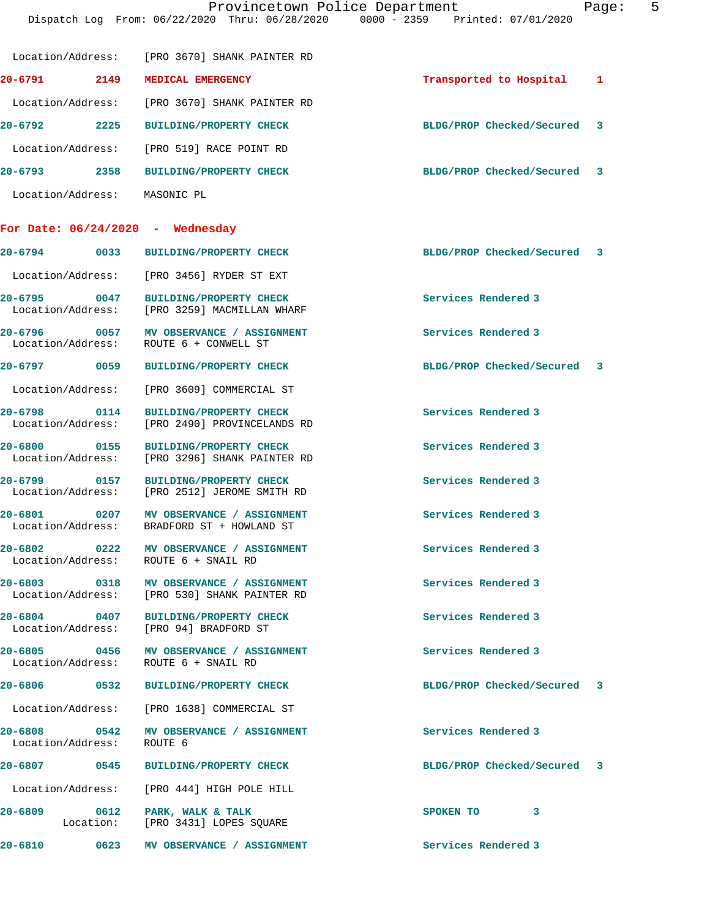|                                      | Location/Address: [PRO 3670] SHANK PAINTER RD                                           |                             |  |
|--------------------------------------|-----------------------------------------------------------------------------------------|-----------------------------|--|
| 20-6791 2149                         | MEDICAL EMERGENCY                                                                       | Transported to Hospital 1   |  |
|                                      | Location/Address: [PRO 3670] SHANK PAINTER RD                                           |                             |  |
| 20-6792 2225                         | <b>BUILDING/PROPERTY CHECK</b>                                                          | BLDG/PROP Checked/Secured 3 |  |
|                                      | Location/Address: [PRO 519] RACE POINT RD                                               |                             |  |
|                                      | 20-6793 2358 BUILDING/PROPERTY CHECK                                                    | BLDG/PROP Checked/Secured 3 |  |
| Location/Address: MASONIC PL         |                                                                                         |                             |  |
| For Date: $06/24/2020$ - Wednesday   |                                                                                         |                             |  |
|                                      | 20-6794 0033 BUILDING/PROPERTY CHECK                                                    | BLDG/PROP Checked/Secured 3 |  |
|                                      | Location/Address: [PRO 3456] RYDER ST EXT                                               |                             |  |
| 20-6795 0047                         | <b>BUILDING/PROPERTY CHECK</b><br>Location/Address: [PRO 3259] MACMILLAN WHARF          | Services Rendered 3         |  |
|                                      | 20-6796 0057 MV OBSERVANCE / ASSIGNMENT<br>Location/Address: ROUTE 6 + CONWELL ST       | Services Rendered 3         |  |
|                                      | 20-6797 0059 BUILDING/PROPERTY CHECK                                                    | BLDG/PROP Checked/Secured 3 |  |
|                                      | Location/Address: [PRO 3609] COMMERCIAL ST                                              |                             |  |
| 20-6798 0114                         | <b>BUILDING/PROPERTY CHECK</b><br>Location/Address: [PRO 2490] PROVINCELANDS RD         | Services Rendered 3         |  |
| 20-6800 0155                         | <b>BUILDING/PROPERTY CHECK</b><br>Location/Address: [PRO 3296] SHANK PAINTER RD         | Services Rendered 3         |  |
|                                      | 20-6799 0157 BUILDING/PROPERTY CHECK<br>Location/Address: [PRO 2512] JEROME SMITH RD    | Services Rendered 3         |  |
|                                      | 20-6801 0207 MV OBSERVANCE / ASSIGNMENT<br>Location/Address: BRADFORD ST + HOWLAND ST   | Services Rendered 3         |  |
| Location/Address: ROUTE 6 + SNAIL RD | 20-6802 0222 MV OBSERVANCE / ASSIGNMENT                                                 | Services Rendered 3         |  |
|                                      | 20-6803 0318 MV OBSERVANCE / ASSIGNMENT<br>Location/Address: [PRO 530] SHANK PAINTER RD | Services Rendered 3         |  |
|                                      | 20-6804 0407 BUILDING/PROPERTY CHECK<br>Location/Address: [PRO 94] BRADFORD ST          | Services Rendered 3         |  |
| Location/Address: ROUTE 6 + SNAIL RD | 20-6805 0456 MV OBSERVANCE / ASSIGNMENT                                                 | Services Rendered 3         |  |
| 20-6806 0532                         | <b>BUILDING/PROPERTY CHECK</b>                                                          | BLDG/PROP Checked/Secured 3 |  |
|                                      | Location/Address: [PRO 1638] COMMERCIAL ST                                              |                             |  |
| Location/Address: ROUTE 6            | 20-6808 0542 MV OBSERVANCE / ASSIGNMENT                                                 | Services Rendered 3         |  |
| 20-6807 0545                         | <b>BUILDING/PROPERTY CHECK</b>                                                          | BLDG/PROP Checked/Secured 3 |  |
|                                      | Location/Address: [PRO 444] HIGH POLE HILL                                              |                             |  |
| 20-6809                              | 0612 PARK, WALK & TALK<br>Location: [PRO 3431] LOPES SQUARE                             | 3<br>SPOKEN TO              |  |
| 20-6810                              | 0623 MV OBSERVANCE / ASSIGNMENT                                                         | Services Rendered 3         |  |
|                                      |                                                                                         |                             |  |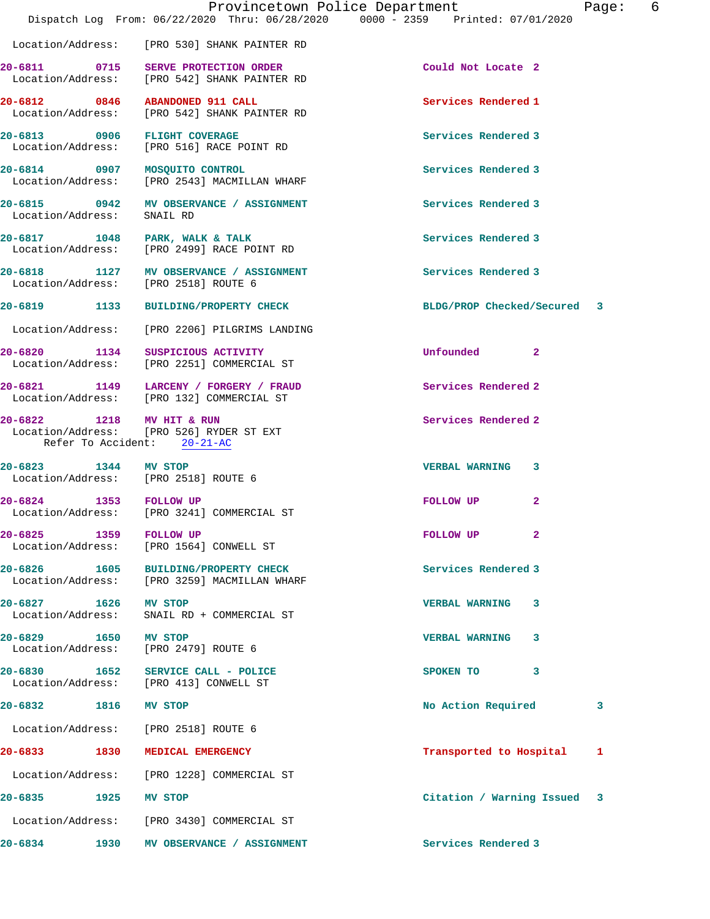|                                   |      | Provincetown Police Department<br>Dispatch Log From: 06/22/2020 Thru: 06/28/2020 0000 - 2359 Printed: 07/01/2020 |                             | 6<br>Page: |
|-----------------------------------|------|------------------------------------------------------------------------------------------------------------------|-----------------------------|------------|
|                                   |      | Location/Address: [PRO 530] SHANK PAINTER RD                                                                     |                             |            |
|                                   |      | 20-6811 0715 SERVE PROTECTION ORDER<br>Location/Address: [PRO 542] SHANK PAINTER RD                              | Could Not Locate 2          |            |
|                                   |      | 20-6812 0846 ABANDONED 911 CALL<br>Location/Address: [PRO 542] SHANK PAINTER RD                                  | Services Rendered 1         |            |
|                                   |      | 20-6813 0906 FLIGHT COVERAGE<br>Location/Address: [PRO 516] RACE POINT RD                                        | Services Rendered 3         |            |
|                                   |      | 20-6814 0907 MOSQUITO CONTROL<br>Location/Address: [PRO 2543] MACMILLAN WHARF                                    | Services Rendered 3         |            |
|                                   |      | 20-6815 0942 MV OBSERVANCE / ASSIGNMENT<br>Location/Address: SNAIL RD                                            | Services Rendered 3         |            |
|                                   |      | 20-6817 1048 PARK, WALK & TALK<br>Location/Address: [PRO 2499] RACE POINT RD                                     | Services Rendered 3         |            |
|                                   |      | 20-6818 1127 MV OBSERVANCE / ASSIGNMENT<br>Location/Address: [PRO 2518] ROUTE 6                                  | Services Rendered 3         |            |
|                                   |      | 20-6819 1133 BUILDING/PROPERTY CHECK                                                                             | BLDG/PROP Checked/Secured 3 |            |
|                                   |      | Location/Address: [PRO 2206] PILGRIMS LANDING                                                                    |                             |            |
|                                   |      | 20-6820 1134 SUSPICIOUS ACTIVITY<br>Location/Address: [PRO 2251] COMMERCIAL ST                                   | Unfounded 2                 |            |
|                                   |      | 20-6821 1149 LARCENY / FORGERY / FRAUD<br>Location/Address: [PRO 132] COMMERCIAL ST                              | Services Rendered 2         |            |
| 20-6822 1218 MV HIT & RUN         |      | Location/Address: [PRO 526] RYDER ST EXT<br>Refer To Accident: 20-21-AC                                          | Services Rendered 2         |            |
| 20-6823 1344 MV STOP              |      | Location/Address: [PRO 2518] ROUTE 6                                                                             | VERBAL WARNING 3            |            |
| 20-6824 1353 FOLLOW UP            |      | Location/Address: [PRO 3241] COMMERCIAL ST                                                                       | FOLLOW UP<br>$\mathbf{2}$   |            |
| 20-6825 1359 FOLLOW UP            |      | Location/Address: [PRO 1564] CONWELL ST                                                                          | $\mathbf{2}$<br>FOLLOW UP   |            |
| 20-6826 1605<br>Location/Address: |      | <b>BUILDING/PROPERTY CHECK</b><br>[PRO 3259] MACMILLAN WHARF                                                     | Services Rendered 3         |            |
| 20-6827 1626<br>Location/Address: |      | <b>MV STOP</b><br>SNAIL RD + COMMERCIAL ST                                                                       | <b>VERBAL WARNING</b><br>3  |            |
| 20-6829 1650                      |      | <b>MV STOP</b><br>Location/Address: [PRO 2479] ROUTE 6                                                           | VERBAL WARNING 3            |            |
|                                   |      | 20-6830 1652 SERVICE CALL - POLICE<br>Location/Address: [PRO 413] CONWELL ST                                     | 3<br>SPOKEN TO              |            |
| 20-6832 1816 MV STOP              |      |                                                                                                                  | No Action Required          | 3          |
|                                   |      | Location/Address: [PRO 2518] ROUTE 6                                                                             |                             |            |
|                                   |      | 20-6833 1830 MEDICAL EMERGENCY                                                                                   | Transported to Hospital     | ı          |
| Location/Address:                 |      | [PRO 1228] COMMERCIAL ST                                                                                         |                             |            |
| 20-6835 2014                      | 1925 | MV STOP                                                                                                          | Citation / Warning Issued 3 |            |
|                                   |      | Location/Address: [PRO 3430] COMMERCIAL ST                                                                       |                             |            |
| 20-6834                           | 1930 | MV OBSERVANCE / ASSIGNMENT                                                                                       | Services Rendered 3         |            |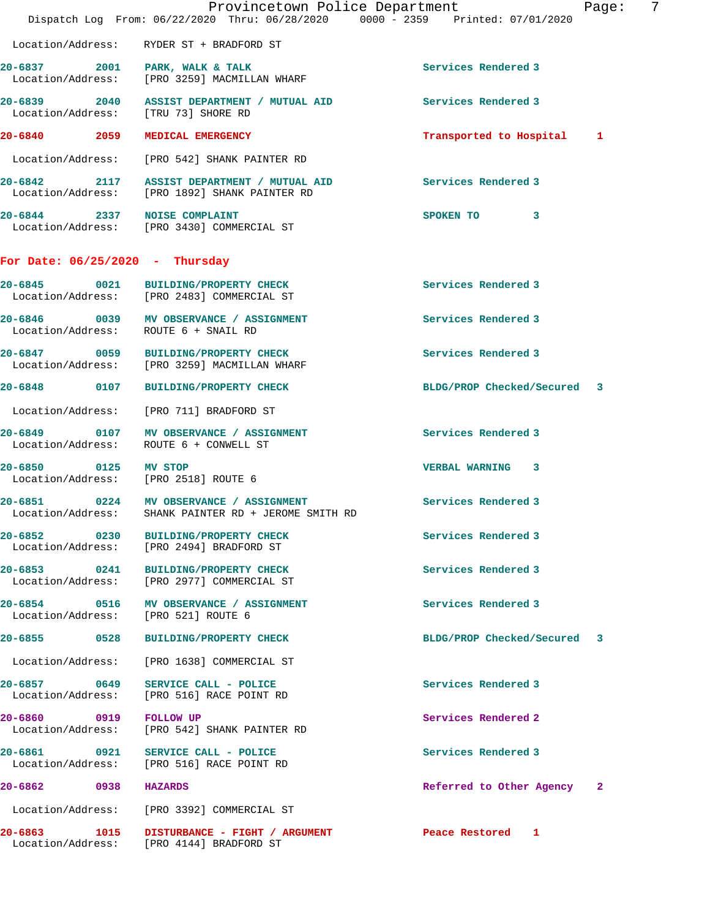|                                   | Provincetown Police Department<br>Dispatch Log From: 06/22/2020 Thru: 06/28/2020 0000 - 2359 Printed: 07/01/2020 |                             | 7<br>Page: |
|-----------------------------------|------------------------------------------------------------------------------------------------------------------|-----------------------------|------------|
|                                   | Location/Address: RYDER ST + BRADFORD ST                                                                         |                             |            |
|                                   | 20-6837 2001 PARK, WALK & TALK<br>Location/Address: [PRO 3259] MACMILLAN WHARF                                   | Services Rendered 3         |            |
|                                   | 20-6839 2040 ASSIST DEPARTMENT / MUTUAL AID<br>Location/Address: [TRU 73] SHORE RD                               | Services Rendered 3         |            |
|                                   | 20-6840 2059 MEDICAL EMERGENCY                                                                                   | Transported to Hospital 1   |            |
|                                   | Location/Address: [PRO 542] SHANK PAINTER RD                                                                     |                             |            |
|                                   | 20-6842 2117 ASSIST DEPARTMENT / MUTUAL AID<br>Location/Address: [PRO 1892] SHANK PAINTER RD                     | Services Rendered 3         |            |
|                                   | 20-6844 2337 NOISE COMPLAINT<br>Location/Address: [PRO 3430] COMMERCIAL ST                                       | SPOKEN TO 3                 |            |
| For Date: $06/25/2020$ - Thursday |                                                                                                                  |                             |            |
|                                   | 20-6845 0021 BUILDING/PROPERTY CHECK<br>Location/Address: [PRO 2483] COMMERCIAL ST                               | Services Rendered 3         |            |
|                                   | 20-6846 0039 MV OBSERVANCE / ASSIGNMENT<br>Location/Address: ROUTE 6 + SNAIL RD                                  | Services Rendered 3         |            |
|                                   | 20-6847 0059 BUILDING/PROPERTY CHECK<br>Location/Address: [PRO 3259] MACMILLAN WHARF                             | Services Rendered 3         |            |
|                                   | 20-6848 0107 BUILDING/PROPERTY CHECK                                                                             | BLDG/PROP Checked/Secured 3 |            |
|                                   | Location/Address: [PRO 711] BRADFORD ST                                                                          |                             |            |
|                                   | 20-6849 0107 MV OBSERVANCE / ASSIGNMENT<br>Location/Address: ROUTE 6 + CONWELL ST                                | Services Rendered 3         |            |
| 20-6850 0125 MV STOP              | Location/Address: [PRO 2518] ROUTE 6                                                                             | VERBAL WARNING 3            |            |
|                                   | 20-6851 0224 MV OBSERVANCE / ASSIGNMENT<br>Location/Address: SHANK PAINTER RD + JEROME SMITH RD                  | Services Rendered 3         |            |
| 20-6852 0230                      | <b>BUILDING/PROPERTY CHECK</b><br>Location/Address: [PRO 2494] BRADFORD ST                                       | Services Rendered 3         |            |
|                                   | 20-6853 0241 BUILDING/PROPERTY CHECK<br>Location/Address: [PRO 2977] COMMERCIAL ST                               | Services Rendered 3         |            |
|                                   | 20-6854 0516 MV OBSERVANCE / ASSIGNMENT<br>Location/Address: [PRO 521] ROUTE 6                                   | Services Rendered 3         |            |
| 20-6855 0528                      | <b>BUILDING/PROPERTY CHECK</b>                                                                                   | BLDG/PROP Checked/Secured   | 3          |
|                                   | Location/Address: [PRO 1638] COMMERCIAL ST                                                                       |                             |            |
| 20-6857 0649<br>Location/Address: | SERVICE CALL - POLICE<br>[PRO 516] RACE POINT RD                                                                 | Services Rendered 3         |            |
| 20-6860 0919                      | <b>FOLLOW UP</b><br>Location/Address: [PRO 542] SHANK PAINTER RD                                                 | Services Rendered 2         |            |
| 20-6861 0921<br>Location/Address: | SERVICE CALL - POLICE<br>[PRO 516] RACE POINT RD                                                                 | Services Rendered 3         |            |
| 20-6862<br>0938                   | <b>HAZARDS</b>                                                                                                   | Referred to Other Agency    | -2         |
|                                   | Location/Address: [PRO 3392] COMMERCIAL ST                                                                       |                             |            |
|                                   | 20-6863 1015 DISTURBANCE - FIGHT / ARGUMENT<br>Location/Address: [PRO 4144] BRADFORD ST                          | Peace Restored 1            |            |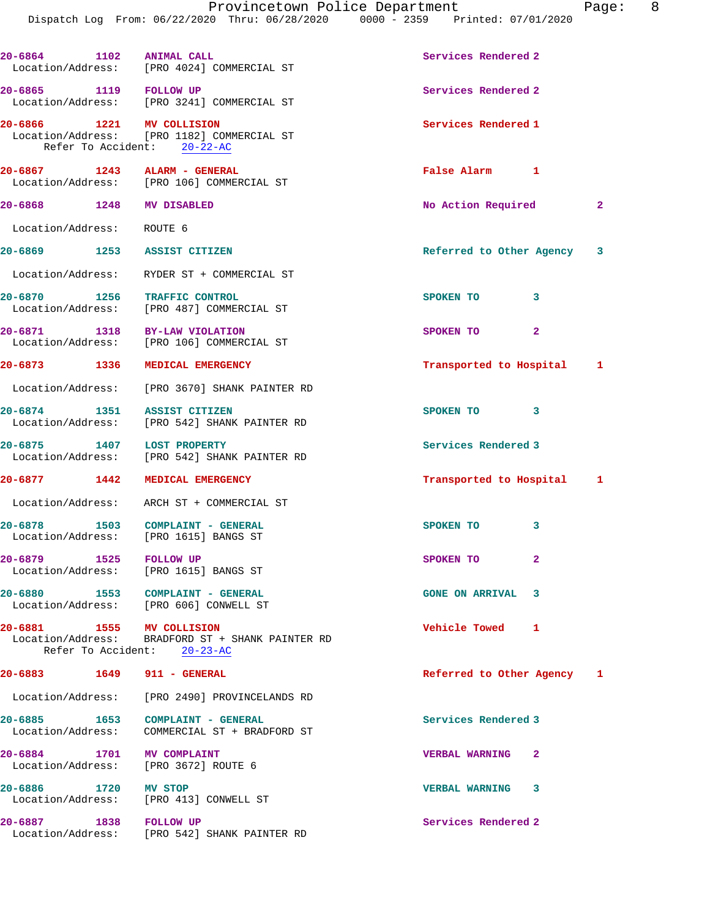| 20-6864 1102                     |              | <b>ANIMAL CALL</b><br>Location/Address: [PRO 4024] COMMERCIAL ST                                     | Services Rendered 2        |              |
|----------------------------------|--------------|------------------------------------------------------------------------------------------------------|----------------------------|--------------|
| 20-6865 1119 FOLLOW UP           |              | Location/Address: [PRO 3241] COMMERCIAL ST                                                           | Services Rendered 2        |              |
| 20-6866 1221 MV COLLISION        |              | Location/Address: [PRO 1182] COMMERCIAL ST<br>Refer To Accident: 20-22-AC                            | Services Rendered 1        |              |
|                                  |              | 20-6867 1243 ALARM - GENERAL<br>Location/Address: [PRO 106] COMMERCIAL ST                            | False Alarm 1              |              |
| 20-6868 1248 MV DISABLED         |              |                                                                                                      | No Action Required         | 2            |
| Location/Address: ROUTE 6        |              |                                                                                                      |                            |              |
| 20-6869 1253 ASSIST CITIZEN      |              |                                                                                                      | Referred to Other Agency 3 |              |
|                                  |              | Location/Address: RYDER ST + COMMERCIAL ST                                                           |                            |              |
|                                  |              | 20-6870 1256 TRAFFIC CONTROL<br>Location/Address: [PRO 487] COMMERCIAL ST                            | SPOKEN TO                  | 3            |
|                                  |              | 20-6871 1318 BY-LAW VIOLATION<br>Location/Address: [PRO 106] COMMERCIAL ST                           | SPOKEN TO                  | $\mathbf{2}$ |
|                                  |              | 20-6873 1336 MEDICAL EMERGENCY                                                                       | Transported to Hospital 1  |              |
|                                  |              | Location/Address: [PRO 3670] SHANK PAINTER RD                                                        |                            |              |
| 20-6874 1351                     |              | ASSIST CITIZEN<br>Location/Address: [PRO 542] SHANK PAINTER RD                                       | SPOKEN TO                  | 3            |
| 20-6875 1407                     |              | <b>LOST PROPERTY</b><br>Location/Address: [PRO 542] SHANK PAINTER RD                                 | Services Rendered 3        |              |
|                                  |              | 20-6877 1442 MEDICAL EMERGENCY                                                                       | Transported to Hospital 1  |              |
|                                  |              | Location/Address: ARCH ST + COMMERCIAL ST                                                            |                            |              |
|                                  |              | 20-6878 1503 COMPLAINT - GENERAL<br>Location/Address: [PRO 1615] BANGS ST                            | SPOKEN TO                  | 3            |
| 20-6879 1525 FOLLOW UP           |              | Location/Address: [PRO 1615] BANGS ST                                                                | SPOKEN TO                  |              |
|                                  |              | 20-6880 1553 COMPLAINT - GENERAL<br>Location/Address: [PRO 606] CONWELL ST                           | <b>GONE ON ARRIVAL</b>     | 3            |
| 20-6881                          |              | 1555 MV COLLISION<br>Location/Address: BRADFORD ST + SHANK PAINTER RD<br>Refer To Accident: 20-23-AC | <b>Vehicle Towed</b>       | 1            |
| 20-6883 1649 911 - GENERAL       |              |                                                                                                      | Referred to Other Agency 1 |              |
|                                  |              | Location/Address: [PRO 2490] PROVINCELANDS RD                                                        |                            |              |
| $20 - 6885$<br>Location/Address: |              | 1653 COMPLAINT - GENERAL<br>COMMERCIAL ST + BRADFORD ST                                              | Services Rendered 3        |              |
| 20-6884 1701 MV COMPLAINT        |              | Location/Address: [PRO 3672] ROUTE 6                                                                 | <b>VERBAL WARNING</b>      | 2            |
| 20-6886                          | 1720 MV STOP | Location/Address: [PRO 413] CONWELL ST                                                               | <b>VERBAL WARNING</b>      | 3            |
| 20-6887                          | 1838         | <b>FOLLOW UP</b>                                                                                     | Services Rendered 2        |              |

Location/Address: [PRO 542] SHANK PAINTER RD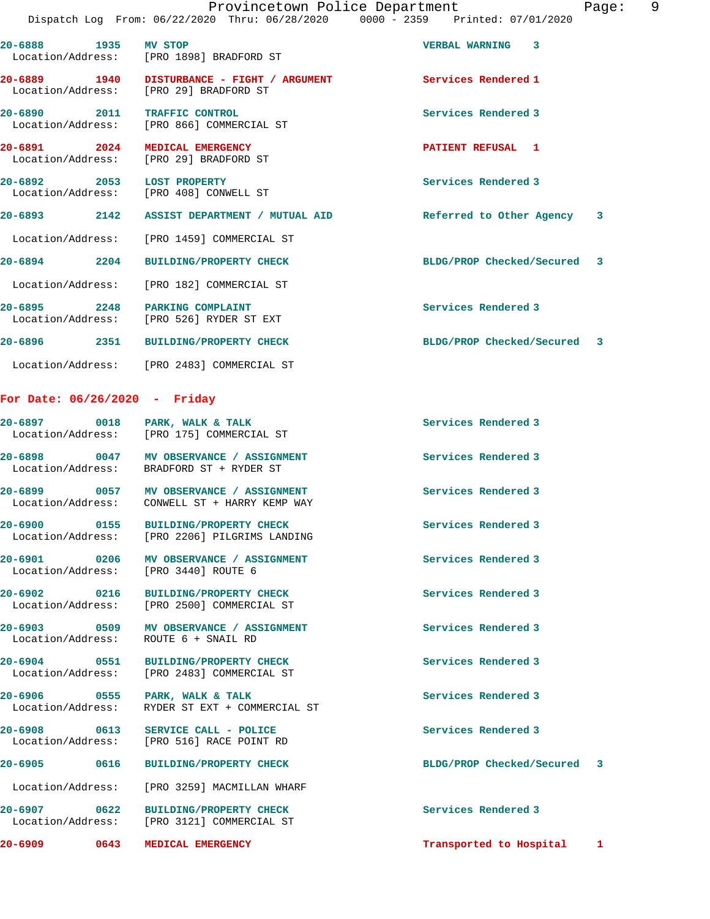| 20-6888 1935 MV STOP              |      | Location/Address: [PRO 1898] BRADFORD ST                                              | <b>VERBAL WARNING</b>       | 3 |   |
|-----------------------------------|------|---------------------------------------------------------------------------------------|-----------------------------|---|---|
|                                   |      | 20-6889 1940 DISTURBANCE - FIGHT / ARGUMENT<br>Location/Address: [PRO 29] BRADFORD ST | Services Rendered 1         |   |   |
| 20-6890 2011<br>Location/Address: |      | <b>TRAFFIC CONTROL</b><br>[PRO 866] COMMERCIAL ST                                     | Services Rendered 3         |   |   |
| 20-6891 2024<br>Location/Address: |      | MEDICAL EMERGENCY<br>[PRO 29] BRADFORD ST                                             | PATIENT REFUSAL 1           |   |   |
| $20 - 6892$<br>Location/Address:  |      | 2053 LOST PROPERTY<br>[PRO 408] CONWELL ST                                            | Services Rendered 3         |   |   |
|                                   |      | 20-6893  2142  ASSIST DEPARTMENT / MUTUAL AID                                         | Referred to Other Agency 3  |   |   |
|                                   |      | Location/Address: [PRO 1459] COMMERCIAL ST                                            |                             |   |   |
| $20 - 6894$                       | 2204 | <b>BUILDING/PROPERTY CHECK</b>                                                        | BLDG/PROP Checked/Secured 3 |   |   |
|                                   |      | Location/Address: [PRO 182] COMMERCIAL ST                                             |                             |   |   |
| 20-6895 2248<br>Location/Address: |      | PARKING COMPLAINT<br>[PRO 526] RYDER ST EXT                                           | Services Rendered 3         |   |   |
| $20 - 6896$                       | 2351 | <b>BUILDING/PROPERTY CHECK</b>                                                        | BLDG/PROP Checked/Secured   |   | 3 |
|                                   |      |                                                                                       |                             |   |   |

Location/Address: [PRO 2483] COMMERCIAL ST

## **For Date: 06/26/2020 - Friday**

| 20-6905 0616<br>20-6907 0622 | $20-6906$ 0555 PARK, WALK & TALK<br>Location/Address: RYDER ST EXT + COMMERCIAL ST<br>20-6908 0613 SERVICE CALL - POLICE<br>Location/Address: [PRO 516] RACE POINT RD<br>BUILDING/PROPERTY CHECK<br>Location/Address: [PRO 3259] MACMILLAN WHARF<br>BUILDING/PROPERTY CHECK<br>Location/Address: [PRO 3121] COMMERCIAL ST | Services Rendered 3<br>Services Rendered 3<br>BLDG/PROP Checked/Secured 3<br>Services Rendered 3                                                                                                                                                                                                                                                                                                                                                                                                                                                                                                                                                      |                                                                                                                                                                                      |
|------------------------------|---------------------------------------------------------------------------------------------------------------------------------------------------------------------------------------------------------------------------------------------------------------------------------------------------------------------------|-------------------------------------------------------------------------------------------------------------------------------------------------------------------------------------------------------------------------------------------------------------------------------------------------------------------------------------------------------------------------------------------------------------------------------------------------------------------------------------------------------------------------------------------------------------------------------------------------------------------------------------------------------|--------------------------------------------------------------------------------------------------------------------------------------------------------------------------------------|
|                              |                                                                                                                                                                                                                                                                                                                           |                                                                                                                                                                                                                                                                                                                                                                                                                                                                                                                                                                                                                                                       |                                                                                                                                                                                      |
|                              |                                                                                                                                                                                                                                                                                                                           |                                                                                                                                                                                                                                                                                                                                                                                                                                                                                                                                                                                                                                                       |                                                                                                                                                                                      |
|                              |                                                                                                                                                                                                                                                                                                                           |                                                                                                                                                                                                                                                                                                                                                                                                                                                                                                                                                                                                                                                       |                                                                                                                                                                                      |
|                              |                                                                                                                                                                                                                                                                                                                           |                                                                                                                                                                                                                                                                                                                                                                                                                                                                                                                                                                                                                                                       |                                                                                                                                                                                      |
|                              |                                                                                                                                                                                                                                                                                                                           |                                                                                                                                                                                                                                                                                                                                                                                                                                                                                                                                                                                                                                                       |                                                                                                                                                                                      |
|                              |                                                                                                                                                                                                                                                                                                                           |                                                                                                                                                                                                                                                                                                                                                                                                                                                                                                                                                                                                                                                       |                                                                                                                                                                                      |
|                              |                                                                                                                                                                                                                                                                                                                           |                                                                                                                                                                                                                                                                                                                                                                                                                                                                                                                                                                                                                                                       |                                                                                                                                                                                      |
| 20-6902 0216                 |                                                                                                                                                                                                                                                                                                                           |                                                                                                                                                                                                                                                                                                                                                                                                                                                                                                                                                                                                                                                       |                                                                                                                                                                                      |
| 20-6901 0206                 |                                                                                                                                                                                                                                                                                                                           |                                                                                                                                                                                                                                                                                                                                                                                                                                                                                                                                                                                                                                                       |                                                                                                                                                                                      |
| 20-6900 0155                 |                                                                                                                                                                                                                                                                                                                           |                                                                                                                                                                                                                                                                                                                                                                                                                                                                                                                                                                                                                                                       |                                                                                                                                                                                      |
|                              |                                                                                                                                                                                                                                                                                                                           |                                                                                                                                                                                                                                                                                                                                                                                                                                                                                                                                                                                                                                                       |                                                                                                                                                                                      |
|                              |                                                                                                                                                                                                                                                                                                                           |                                                                                                                                                                                                                                                                                                                                                                                                                                                                                                                                                                                                                                                       |                                                                                                                                                                                      |
| 20-6897 0018                 |                                                                                                                                                                                                                                                                                                                           |                                                                                                                                                                                                                                                                                                                                                                                                                                                                                                                                                                                                                                                       |                                                                                                                                                                                      |
|                              |                                                                                                                                                                                                                                                                                                                           | PARK, WALK & TALK<br>Location/Address: [PRO 175] COMMERCIAL ST<br>20-6898 0047 MV OBSERVANCE / ASSIGNMENT<br>Location/Address: BRADFORD ST + RYDER ST<br>20-6899 0057 MV OBSERVANCE / ASSIGNMENT<br>Location/Address: CONWELL ST + HARRY KEMP WAY<br>BUILDING/PROPERTY CHECK<br>Location/Address: [PRO 2206] PILGRIMS LANDING<br>MV OBSERVANCE / ASSIGNMENT<br>Location/Address: [PRO 3440] ROUTE 6<br>BUILDING/PROPERTY CHECK<br>Location/Address: [PRO 2500] COMMERCIAL ST<br>20-6903 0509 MV OBSERVANCE / ASSIGNMENT<br>Location/Address: ROUTE 6 + SNAIL RD<br>20-6904 0551 BUILDING/PROPERTY CHECK<br>Location/Address: [PRO 2483] COMMERCIAL ST | Services Rendered 3<br>Services Rendered 3<br>Services Rendered 3<br>Services Rendered 3<br>Services Rendered 3<br>Services Rendered 3<br>Services Rendered 3<br>Services Rendered 3 |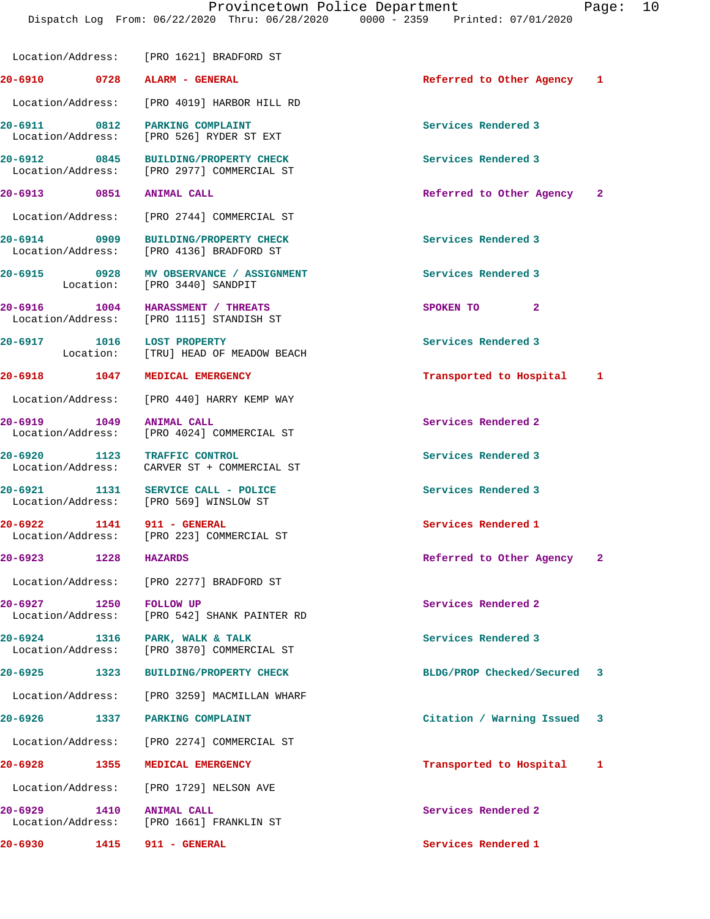|                            | Location/Address: [PRO 1621] BRADFORD ST                                           |                             |  |
|----------------------------|------------------------------------------------------------------------------------|-----------------------------|--|
|                            | 20-6910 0728 ALARM - GENERAL                                                       | Referred to Other Agency 1  |  |
|                            | Location/Address: [PRO 4019] HARBOR HILL RD                                        |                             |  |
|                            | 20-6911 0812 PARKING COMPLAINT<br>Location/Address: [PRO 526] RYDER ST EXT         | Services Rendered 3         |  |
|                            | 20-6912 0845 BUILDING/PROPERTY CHECK<br>Location/Address: [PRO 2977] COMMERCIAL ST | Services Rendered 3         |  |
| 20-6913 0851 ANIMAL CALL   |                                                                                    | Referred to Other Agency 2  |  |
|                            | Location/Address: [PRO 2744] COMMERCIAL ST                                         |                             |  |
|                            | 20-6914 0909 BUILDING/PROPERTY CHECK<br>Location/Address: [PRO 4136] BRADFORD ST   | Services Rendered 3         |  |
|                            | 20-6915 0928 MV OBSERVANCE / ASSIGNMENT<br>Location: [PRO 3440] SANDPIT            | Services Rendered 3         |  |
|                            | 20-6916 1004 HARASSMENT / THREATS<br>Location/Address: [PRO 1115] STANDISH ST      | SPOKEN TO<br>$\mathbf{2}$   |  |
|                            | 20-6917 1016 LOST PROPERTY<br>Location: [TRU] HEAD OF MEADOW BEACH                 | Services Rendered 3         |  |
|                            | 20-6918 1047 MEDICAL EMERGENCY                                                     | Transported to Hospital 1   |  |
|                            | Location/Address: [PRO 440] HARRY KEMP WAY                                         |                             |  |
| 20-6919 1049 ANIMAL CALL   | Location/Address: [PRO 4024] COMMERCIAL ST                                         | Services Rendered 2         |  |
|                            | 20-6920 1123 TRAFFIC CONTROL<br>Location/Address: CARVER ST + COMMERCIAL ST        | Services Rendered 3         |  |
|                            | 20-6921 1131 SERVICE CALL - POLICE<br>Location/Address: [PRO 569] WINSLOW ST       | Services Rendered 3         |  |
|                            | 20-6922 1141 911 - GENERAL<br>Location/Address: [PRO 223] COMMERCIAL ST            | Services Rendered 1         |  |
| 20-6923 1228 HAZARDS       |                                                                                    | Referred to Other Agency 2  |  |
|                            | Location/Address: [PRO 2277] BRADFORD ST                                           |                             |  |
| 20-6927 1250 FOLLOW UP     | Location/Address: [PRO 542] SHANK PAINTER RD                                       | Services Rendered 2         |  |
|                            | 20-6924 1316 PARK, WALK & TALK<br>Location/Address: [PRO 3870] COMMERCIAL ST       | Services Rendered 3         |  |
| 20-6925 1323               | <b>BUILDING/PROPERTY CHECK</b>                                                     | BLDG/PROP Checked/Secured 3 |  |
|                            | Location/Address: [PRO 3259] MACMILLAN WHARF                                       |                             |  |
| 20-6926 1337               | <b>PARKING COMPLAINT</b>                                                           | Citation / Warning Issued 3 |  |
|                            | Location/Address: [PRO 2274] COMMERCIAL ST                                         |                             |  |
| $20 - 6928$<br>1355        | MEDICAL EMERGENCY                                                                  | Transported to Hospital 1   |  |
|                            | Location/Address: [PRO 1729] NELSON AVE                                            |                             |  |
| 20-6929 1410               | <b>ANIMAL CALL</b><br>Location/Address: [PRO 1661] FRANKLIN ST                     | Services Rendered 2         |  |
| 20-6930 1415 911 - GENERAL |                                                                                    | Services Rendered 1         |  |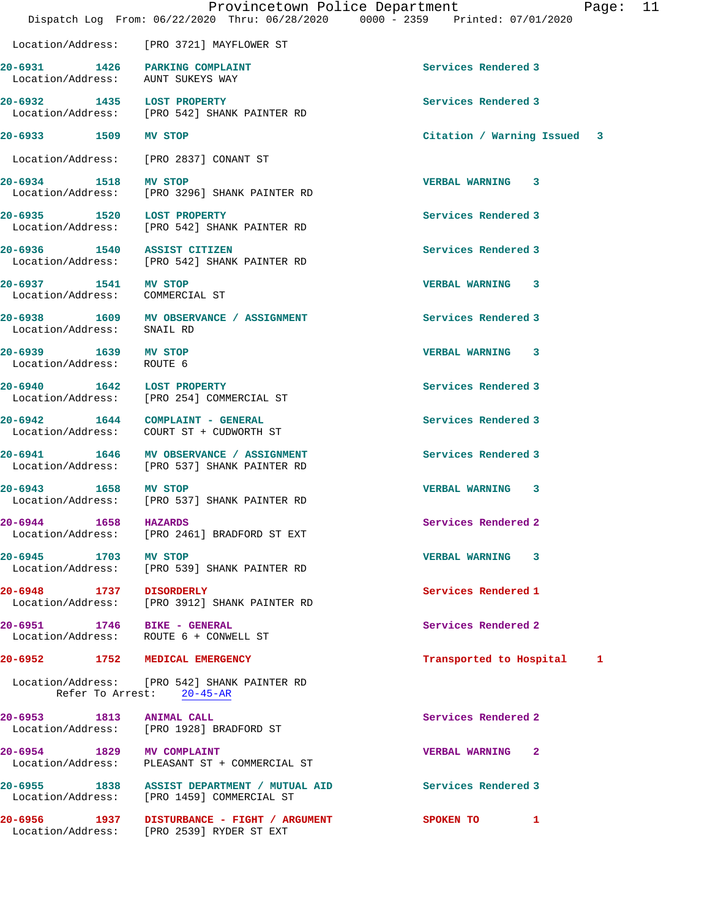|                                                                     | Provincetown Police Department<br>Dispatch Log From: 06/22/2020 Thru: 06/28/2020 0000 - 2359 Printed: 07/01/2020 | 11<br>Page:                  |
|---------------------------------------------------------------------|------------------------------------------------------------------------------------------------------------------|------------------------------|
|                                                                     | Location/Address: [PRO 3721] MAYFLOWER ST                                                                        |                              |
| 20-6931 1426 PARKING COMPLAINT<br>Location/Address: AUNT SUKEYS WAY |                                                                                                                  | Services Rendered 3          |
| 20-6932 1435 LOST PROPERTY                                          | Location/Address: [PRO 542] SHANK PAINTER RD                                                                     | Services Rendered 3          |
| 20-6933 1509 MV STOP                                                |                                                                                                                  | Citation / Warning Issued 3  |
|                                                                     | Location/Address: [PRO 2837] CONANT ST                                                                           |                              |
| 20-6934 1518 MV STOP                                                | Location/Address: [PRO 3296] SHANK PAINTER RD                                                                    | VERBAL WARNING 3             |
| 20-6935 1520 LOST PROPERTY                                          | Location/Address: [PRO 542] SHANK PAINTER RD                                                                     | Services Rendered 3          |
| 20-6936 1540 ASSIST CITIZEN                                         | Location/Address: [PRO 542] SHANK PAINTER RD                                                                     | Services Rendered 3          |
| 20-6937 1541 MV STOP<br>Location/Address: COMMERCIAL ST             |                                                                                                                  | <b>VERBAL WARNING 3</b>      |
| Location/Address: SNAIL RD                                          | 20-6938 1609 MV OBSERVANCE / ASSIGNMENT                                                                          | Services Rendered 3          |
| 20-6939 1639 MV STOP<br>Location/Address: ROUTE 6                   |                                                                                                                  | VERBAL WARNING 3             |
|                                                                     | 20-6940 1642 LOST PROPERTY<br>Location/Address: [PRO 254] COMMERCIAL ST                                          | Services Rendered 3          |
|                                                                     | 20-6942 1644 COMPLAINT - GENERAL<br>Location/Address: COURT ST + CUDWORTH ST                                     | Services Rendered 3          |
|                                                                     | 20-6941 1646 MV OBSERVANCE / ASSIGNMENT<br>Location/Address: [PRO 537] SHANK PAINTER RD                          | Services Rendered 3          |
| 20-6943 1658 MV STOP                                                | Location/Address: [PRO 537] SHANK PAINTER RD                                                                     | VERBAL WARNING 3             |
| 20-6944 1658 HAZARDS                                                | Location/Address: [PRO 2461] BRADFORD ST EXT                                                                     | Services Rendered 2          |
| 20-6945 1703 MV STOP                                                | Location/Address: [PRO 539] SHANK PAINTER RD                                                                     | VERBAL WARNING 3             |
| 20-6948 1737 DISORDERLY                                             | Location/Address: [PRO 3912] SHANK PAINTER RD                                                                    | Services Rendered 1          |
| 20-6951 1746 BIKE - GENERAL                                         | Location/Address: ROUTE 6 + CONWELL ST                                                                           | Services Rendered 2          |
| $20 - 6952$                                                         | 1752 MEDICAL EMERGENCY                                                                                           | Transported to Hospital<br>1 |
|                                                                     | Location/Address: [PRO 542] SHANK PAINTER RD<br>Refer To Arrest: 20-45-AR                                        |                              |
| 20-6953 1813 ANIMAL CALL                                            | Location/Address: [PRO 1928] BRADFORD ST                                                                         | Services Rendered 2          |
| 20-6954 1829 MV COMPLAINT                                           | Location/Address: PLEASANT ST + COMMERCIAL ST                                                                    | <b>VERBAL WARNING 2</b>      |
|                                                                     | 20-6955 1838 ASSIST DEPARTMENT / MUTUAL AID<br>Location/Address: [PRO 1459] COMMERCIAL ST                        | Services Rendered 3          |
| $20 - 6956$                                                         | 1937 DISTURBANCE - FIGHT / ARGUMENT<br>Location/Address: [PRO 2539] RYDER ST EXT                                 | SPOKEN TO 1                  |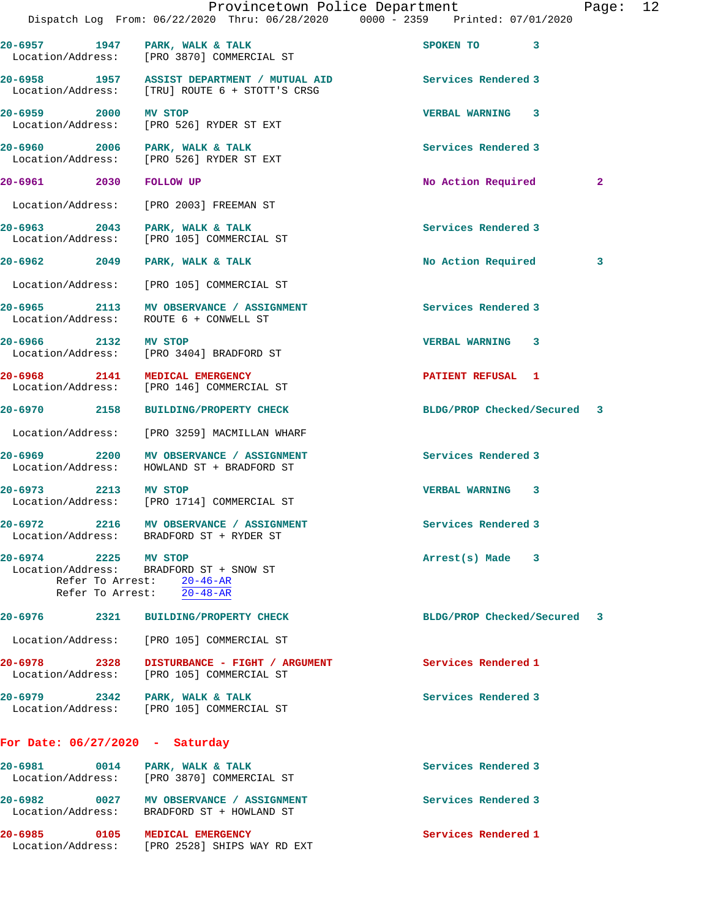|                                   | Dispatch Log From: 06/22/2020 Thru: 06/28/2020 0000 - 2359 Printed: 07/01/2020                    | Provincetown Police Department | Page:        | 12 |
|-----------------------------------|---------------------------------------------------------------------------------------------------|--------------------------------|--------------|----|
|                                   | 20-6957 1947 PARK, WALK & TALK<br>Location/Address: [PRO 3870] COMMERCIAL ST                      | SPOKEN TO 3                    |              |    |
|                                   | 20-6958 1957 ASSIST DEPARTMENT / MUTUAL AID<br>Location/Address: [TRU] ROUTE 6 + STOTT'S CRSG     | Services Rendered 3            |              |    |
| 20-6959 2000 MV STOP              | Location/Address: [PRO 526] RYDER ST EXT                                                          | <b>VERBAL WARNING 3</b>        |              |    |
|                                   | 20-6960 2006 PARK, WALK & TALK<br>Location/Address: [PRO 526] RYDER ST EXT                        | Services Rendered 3            |              |    |
| 20-6961 2030                      | <b>FOLLOW UP</b>                                                                                  | No Action Required             | $\mathbf{2}$ |    |
|                                   | Location/Address: [PRO 2003] FREEMAN ST                                                           |                                |              |    |
|                                   | 20-6963 2043 PARK, WALK & TALK<br>Location/Address: [PRO 105] COMMERCIAL ST                       | Services Rendered 3            |              |    |
|                                   | 20-6962 2049 PARK, WALK & TALK                                                                    | No Action Required             | 3            |    |
|                                   | Location/Address: [PRO 105] COMMERCIAL ST                                                         |                                |              |    |
|                                   | 20-6965 2113 MV OBSERVANCE / ASSIGNMENT<br>Location/Address: ROUTE 6 + CONWELL ST                 | Services Rendered 3            |              |    |
| 20-6966 2132 MV STOP              | Location/Address: [PRO 3404] BRADFORD ST                                                          | <b>VERBAL WARNING 3</b>        |              |    |
|                                   | 20-6968 2141 MEDICAL EMERGENCY<br>Location/Address: [PRO 146] COMMERCIAL ST                       | <b>PATIENT REFUSAL 1</b>       |              |    |
|                                   | 20-6970 2158 BUILDING/PROPERTY CHECK                                                              | BLDG/PROP Checked/Secured 3    |              |    |
|                                   | Location/Address: [PRO 3259] MACMILLAN WHARF                                                      |                                |              |    |
|                                   | 20-6969 2200 MV OBSERVANCE / ASSIGNMENT<br>Location/Address: HOWLAND ST + BRADFORD ST             | Services Rendered 3            |              |    |
| 20-6973 2213 MV STOP              | Location/Address: [PRO 1714] COMMERCIAL ST                                                        | VERBAL WARNING 3               |              |    |
|                                   | 20-6972 2216 MV OBSERVANCE / ASSIGNMENT<br>Location/Address: BRADFORD ST + RYDER ST               | Services Rendered 3            |              |    |
| 20-6974 2225 MV STOP              | Location/Address: BRADFORD ST + SNOW ST<br>Refer To Arrest: 20-46-AR<br>Refer To Arrest: 20-48-AR | $Arrest(s)$ Made $3$           |              |    |
|                                   | 20-6976 2321 BUILDING/PROPERTY CHECK                                                              | BLDG/PROP Checked/Secured 3    |              |    |
|                                   | Location/Address: [PRO 105] COMMERCIAL ST                                                         |                                |              |    |
|                                   | 20-6978 2328 DISTURBANCE - FIGHT / ARGUMENT<br>Location/Address: [PRO 105] COMMERCIAL ST          | Services Rendered 1            |              |    |
|                                   | 20-6979 2342 PARK, WALK & TALK<br>Location/Address: [PRO 105] COMMERCIAL ST                       | Services Rendered 3            |              |    |
| For Date: $06/27/2020 -$ Saturday |                                                                                                   |                                |              |    |
|                                   | 20-6981 0014 PARK, WALK & TALK<br>Location/Address: [PRO 3870] COMMERCIAL ST                      | Services Rendered 3            |              |    |
|                                   | 20-6982 0027 MV OBSERVANCE / ASSIGNMENT<br>Location/Address: BRADFORD ST + HOWLAND ST             | Services Rendered 3            |              |    |
|                                   | 20-6985 0105 MEDICAL EMERGENCY                                                                    | Services Rendered 1            |              |    |

Location/Address: [PRO 2528] SHIPS WAY RD EXT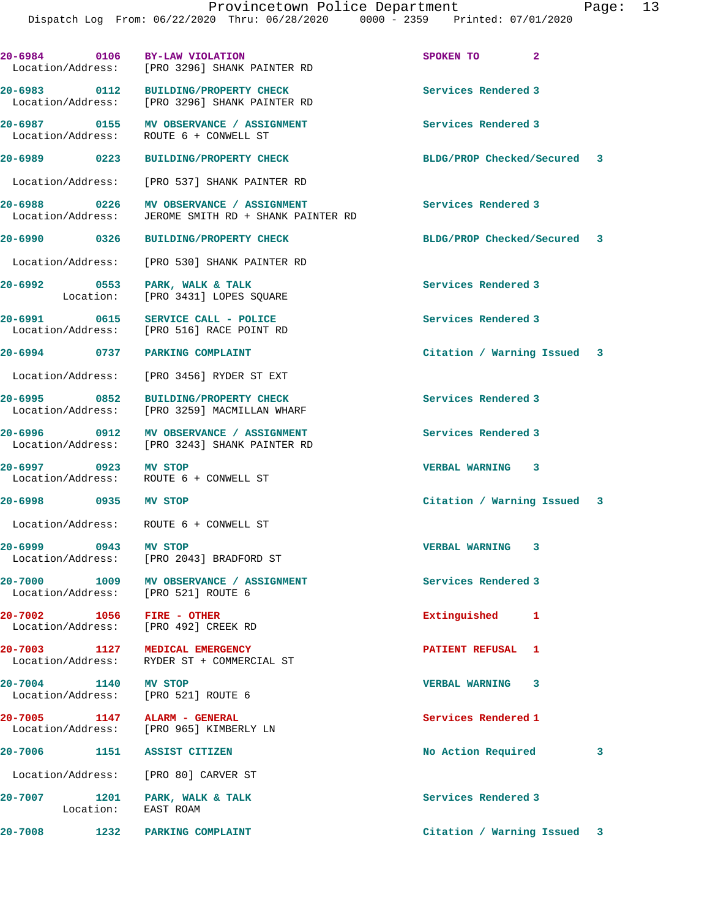| 20-6984 0106 BY-LAW VIOLATION                                     | Location/Address: [PRO 3296] SHANK PAINTER RD                                            | SPOKEN TO 2                 |   |
|-------------------------------------------------------------------|------------------------------------------------------------------------------------------|-----------------------------|---|
|                                                                   | 20-6983 0112 BUILDING/PROPERTY CHECK<br>Location/Address: [PRO 3296] SHANK PAINTER RD    | Services Rendered 3         |   |
|                                                                   | 20-6987 0155 MV OBSERVANCE / ASSIGNMENT<br>Location/Address: ROUTE 6 + CONWELL ST        | Services Rendered 3         |   |
|                                                                   |                                                                                          | BLDG/PROP Checked/Secured 3 |   |
|                                                                   | Location/Address: [PRO 537] SHANK PAINTER RD                                             |                             |   |
| Location/Address:                                                 | 20-6988 0226 MV OBSERVANCE / ASSIGNMENT<br>JEROME SMITH RD + SHANK PAINTER RD            | <b>Services Rendered 3</b>  |   |
|                                                                   | 20-6990 0326 BUILDING/PROPERTY CHECK                                                     | BLDG/PROP Checked/Secured 3 |   |
|                                                                   | Location/Address: [PRO 530] SHANK PAINTER RD                                             |                             |   |
|                                                                   | 20-6992 0553 PARK, WALK & TALK<br>Location: [PRO 3431] LOPES SQUARE                      | Services Rendered 3         |   |
|                                                                   | 20-6991 0615 SERVICE CALL - POLICE<br>Location/Address: [PRO 516] RACE POINT RD          | Services Rendered 3         |   |
| 20-6994 0737 PARKING COMPLAINT                                    |                                                                                          | Citation / Warning Issued 3 |   |
|                                                                   | Location/Address: [PRO 3456] RYDER ST EXT                                                |                             |   |
|                                                                   | 20-6995 0852 BUILDING/PROPERTY CHECK<br>Location/Address: [PRO 3259] MACMILLAN WHARF     | Services Rendered 3         |   |
|                                                                   | 20-6996 0912 MV OBSERVANCE / ASSIGNMENT<br>Location/Address: [PRO 3243] SHANK PAINTER RD | Services Rendered 3         |   |
| 20-6997 0923 MV STOP                                              | Location/Address: ROUTE 6 + CONWELL ST                                                   | VERBAL WARNING 3            |   |
| 20-6998 0935 MV STOP                                              |                                                                                          | Citation / Warning Issued 3 |   |
|                                                                   | Location/Address: ROUTE 6 + CONWELL ST                                                   |                             |   |
| 20-6999 0943 MV STOP                                              | Location/Address: [PRO 2043] BRADFORD ST                                                 | VERBAL WARNING 3            |   |
| 20-7000 1009<br>Location/Address: [PRO 521] ROUTE 6               | MV OBSERVANCE / ASSIGNMENT                                                               | Services Rendered 3         |   |
| 20-7002 1056 FIRE - OTHER<br>Location/Address: [PRO 492] CREEK RD |                                                                                          | Extinguished<br>1           |   |
| 20-7003<br>Location/Address:                                      | 1127 MEDICAL EMERGENCY<br>RYDER ST + COMMERCIAL ST                                       | PATIENT REFUSAL 1           |   |
| 20-7004 1140 MV STOP<br>Location/Address: [PRO 521] ROUTE 6       |                                                                                          | <b>VERBAL WARNING</b><br>3  |   |
| 20-7005 1147 ALARM - GENERAL                                      | Location/Address: [PRO 965] KIMBERLY LN                                                  | Services Rendered 1         |   |
| 20-7006                                                           | 1151 ASSIST CITIZEN                                                                      | No Action Required          | з |
|                                                                   | Location/Address: [PRO 80] CARVER ST                                                     |                             |   |

Location: EAST ROAM

20-7007 1201 PARK, WALK & TALK **Services Rendered 3** 

**20-7008 1232 PARKING COMPLAINT Citation / Warning Issued 3**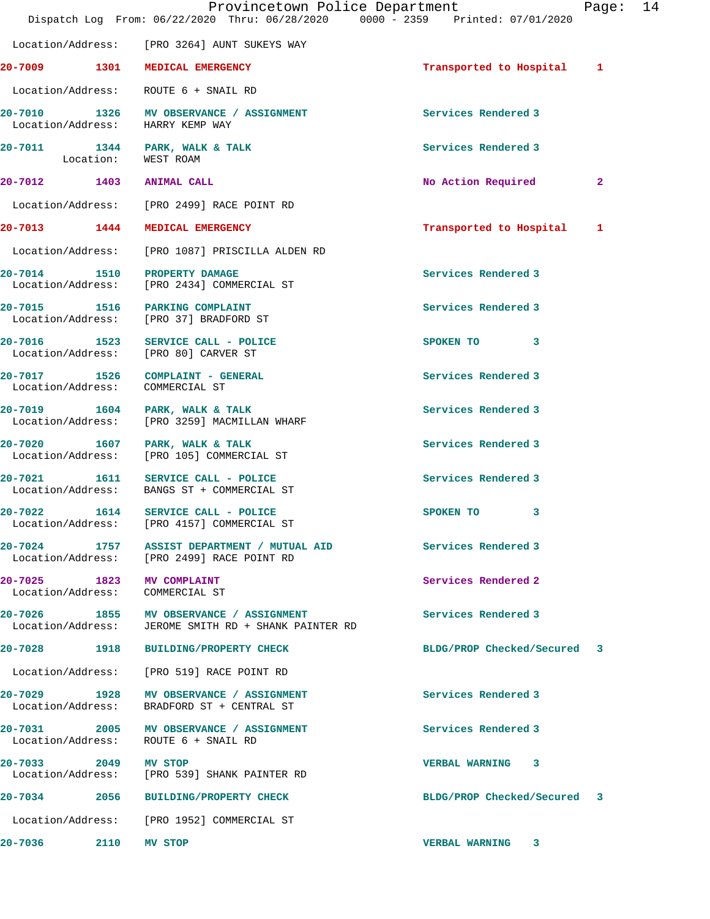|                                                                                  |                            |                                                        | Provincetown Police Department<br>Dispatch Log From: 06/22/2020 Thru: 06/28/2020 0000 - 2359 Printed: 07/01/2020 | Page:        | 14 |
|----------------------------------------------------------------------------------|----------------------------|--------------------------------------------------------|------------------------------------------------------------------------------------------------------------------|--------------|----|
|                                                                                  |                            | Location/Address: [PRO 3264] AUNT SUKEYS WAY           |                                                                                                                  |              |    |
| 20-7009 1301 MEDICAL EMERGENCY                                                   |                            |                                                        | Transported to Hospital 1                                                                                        |              |    |
| Location/Address: ROUTE 6 + SNAIL RD                                             |                            |                                                        |                                                                                                                  |              |    |
| 20-7010 1326 MV OBSERVANCE / ASSIGNMENT<br>Location/Address: HARRY KEMP WAY      |                            |                                                        | Services Rendered 3                                                                                              |              |    |
| 20-7011 1344 PARK, WALK & TALK                                                   | Location: WEST ROAM        |                                                        | Services Rendered 3                                                                                              |              |    |
| 20-7012 1403 ANIMAL CALL                                                         |                            |                                                        | No Action Required                                                                                               | $\mathbf{2}$ |    |
| Location/Address: [PRO 2499] RACE POINT RD                                       |                            |                                                        |                                                                                                                  |              |    |
| 20-7013 1444 MEDICAL EMERGENCY                                                   |                            |                                                        | Transported to Hospital                                                                                          | 1            |    |
|                                                                                  |                            | Location/Address: [PRO 1087] PRISCILLA ALDEN RD        |                                                                                                                  |              |    |
| 20-7014 1510 PROPERTY DAMAGE<br>Location/Address: [PRO 2434] COMMERCIAL ST       |                            |                                                        | Services Rendered 3                                                                                              |              |    |
| 20-7015 1516 PARKING COMPLAINT<br>Location/Address: [PRO 37] BRADFORD ST         |                            |                                                        | Services Rendered 3                                                                                              |              |    |
| 20-7016 1523 SERVICE CALL - POLICE<br>Location/Address: [PRO 80] CARVER ST       |                            |                                                        | SPOKEN TO<br>3                                                                                                   |              |    |
| 20-7017 1526 COMPLAINT - GENERAL<br>Location/Address: COMMERCIAL ST              |                            |                                                        | Services Rendered 3                                                                                              |              |    |
| 20-7019 1604 PARK, WALK & TALK<br>Location/Address: [PRO 3259] MACMILLAN WHARF   |                            |                                                        | Services Rendered 3                                                                                              |              |    |
| 20-7020 1607 PARK, WALK & TALK<br>Location/Address: [PRO 105] COMMERCIAL ST      |                            |                                                        | Services Rendered 3                                                                                              |              |    |
| 20-7021 1611 SERVICE CALL - POLICE<br>Location/Address: BANGS ST + COMMERCIAL ST |                            |                                                        | Services Rendered 3                                                                                              |              |    |
| $20 - 7022$<br>Location/Address:                                                 | 1614 SERVICE CALL - POLICE | [PRO 4157] COMMERCIAL ST                               | SPOKEN TO<br>3                                                                                                   |              |    |
| Location/Address: [PRO 2499] RACE POINT RD                                       |                            | 20-7024 1757 ASSIST DEPARTMENT / MUTUAL AID            | Services Rendered 3                                                                                              |              |    |
| 20-7025 1823 MV COMPLAINT<br>Location/Address: COMMERCIAL ST                     |                            |                                                        | Services Rendered 2                                                                                              |              |    |
| 20-7026 1855 MV OBSERVANCE / ASSIGNMENT                                          |                            | Location/Address: JEROME SMITH RD + SHANK PAINTER RD   | Services Rendered 3                                                                                              |              |    |
| 20-7028 1918                                                                     |                            | BUILDING/PROPERTY CHECK                                | BLDG/PROP Checked/Secured 3                                                                                      |              |    |
| Location/Address: [PRO 519] RACE POINT RD                                        |                            |                                                        |                                                                                                                  |              |    |
| 20-7029 1928<br>Location/Address:                                                |                            | MV OBSERVANCE / ASSIGNMENT<br>BRADFORD ST + CENTRAL ST | Services Rendered 3                                                                                              |              |    |
| Location/Address: ROUTE 6 + SNAIL RD                                             |                            | 20-7031 2005 MV OBSERVANCE / ASSIGNMENT                | Services Rendered 3                                                                                              |              |    |
| 20-7033 2049 MV STOP<br>Location/Address: [PRO 539] SHANK PAINTER RD             |                            |                                                        | VERBAL WARNING 3                                                                                                 |              |    |
| 20-7034 2056 BUILDING/PROPERTY CHECK                                             |                            |                                                        | BLDG/PROP Checked/Secured 3                                                                                      |              |    |
| Location/Address: [PRO 1952] COMMERCIAL ST                                       |                            |                                                        |                                                                                                                  |              |    |
| 20-7036 2110                                                                     | MV STOP                    |                                                        | VERBAL WARNING 3                                                                                                 |              |    |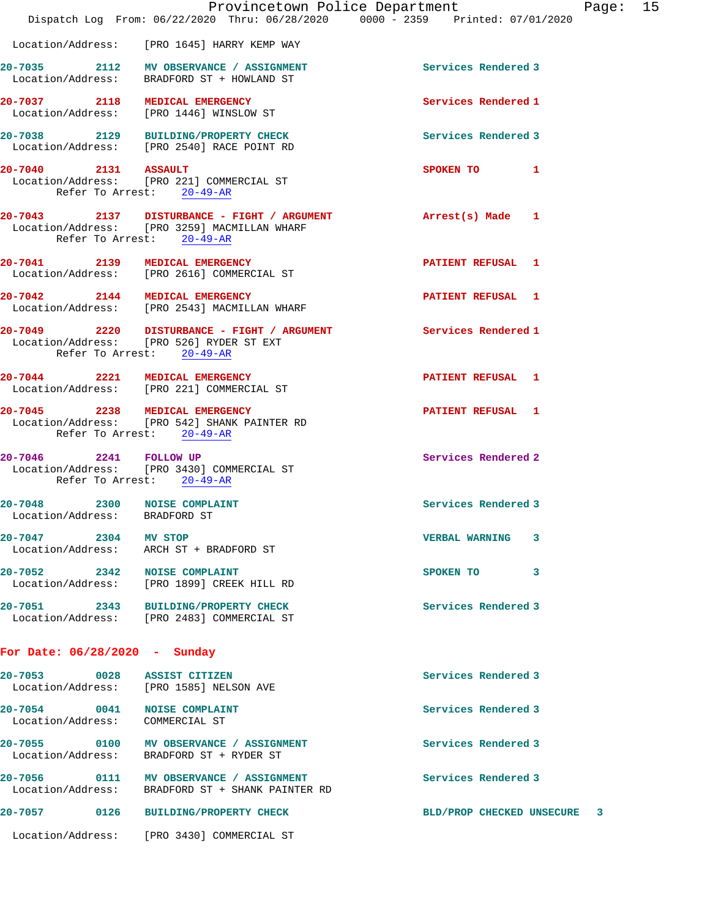|                                                                                    |                                                                           | Provincetown Police Department<br>Dispatch Log From: 06/22/2020 Thru: 06/28/2020 0000 - 2359 Printed: 07/01/2020 |                             |              | Page: 15 |  |
|------------------------------------------------------------------------------------|---------------------------------------------------------------------------|------------------------------------------------------------------------------------------------------------------|-----------------------------|--------------|----------|--|
|                                                                                    | Location/Address: [PRO 1645] HARRY KEMP WAY                               |                                                                                                                  |                             |              |          |  |
| 20-7035 2112 MV OBSERVANCE / ASSIGNMENT                                            | Location/Address: BRADFORD ST + HOWLAND ST                                |                                                                                                                  | Services Rendered 3         |              |          |  |
| 20-7037 2118 MEDICAL EMERGENCY                                                     | Location/Address: [PRO 1446] WINSLOW ST                                   |                                                                                                                  | Services Rendered 1         |              |          |  |
| 20-7038 2129 BUILDING/PROPERTY CHECK                                               | Location/Address: [PRO 2540] RACE POINT RD                                |                                                                                                                  | Services Rendered 3         |              |          |  |
| 20-7040 2131 ASSAULT                                                               | Location/Address: [PRO 221] COMMERCIAL ST<br>Refer To Arrest: 20-49-AR    |                                                                                                                  | SPOKEN TO                   | $\mathbf{1}$ |          |  |
|                                                                                    | Location/Address: [PRO 3259] MACMILLAN WHARF<br>Refer To Arrest: 20-49-AR | 20-7043 2137 DISTURBANCE - FIGHT / ARGUMENT                                                                      | Arrest(s) Made 1            |              |          |  |
| 20-7041 2139 MEDICAL EMERGENCY                                                     | Location/Address: [PRO 2616] COMMERCIAL ST                                |                                                                                                                  | PATIENT REFUSAL 1           |              |          |  |
| 20-7042 2144 MEDICAL EMERGENCY                                                     | Location/Address: [PRO 2543] MACMILLAN WHARF                              |                                                                                                                  | <b>PATIENT REFUSAL 1</b>    |              |          |  |
|                                                                                    | Location/Address: [PRO 526] RYDER ST EXT<br>Refer To Arrest: 20-49-AR     | 20-7049 2220 DISTURBANCE - FIGHT / ARGUMENT                                                                      | Services Rendered 1         |              |          |  |
| 20-7044 2221 MEDICAL EMERGENCY<br>Location/Address: [PRO 221] COMMERCIAL ST        |                                                                           |                                                                                                                  | PATIENT REFUSAL 1           |              |          |  |
| 20-7045 2238 MEDICAL EMERGENCY                                                     | Location/Address: [PRO 542] SHANK PAINTER RD<br>Refer To Arrest: 20-49-AR |                                                                                                                  | PATIENT REFUSAL 1           |              |          |  |
| 20-7046 2241 FOLLOW UP                                                             | Location/Address: [PRO 3430] COMMERCIAL ST<br>Refer To Arrest: 20-49-AR   |                                                                                                                  | Services Rendered 2         |              |          |  |
| 20-7048 2300 NOISE COMPLAINT                                                       | Location/Address: BRADFORD ST                                             |                                                                                                                  | Services Rendered 3         |              |          |  |
| 20-7047 2304 MV STOP                                                               | Location/Address: ARCH ST + BRADFORD ST                                   |                                                                                                                  | VERBAL WARNING 3            |              |          |  |
| 20-7052 2342 NOISE COMPLAINT                                                       | Location/Address: [PRO 1899] CREEK HILL RD                                |                                                                                                                  | SPOKEN TO 3                 |              |          |  |
| 20-7051 2343 BUILDING/PROPERTY CHECK<br>Location/Address: [PRO 2483] COMMERCIAL ST |                                                                           |                                                                                                                  | Services Rendered 3         |              |          |  |
| For Date: $06/28/2020$ - Sunday                                                    |                                                                           |                                                                                                                  |                             |              |          |  |
| 20-7053 0028 ASSIST CITIZEN                                                        | Location/Address: [PRO 1585] NELSON AVE                                   |                                                                                                                  | Services Rendered 3         |              |          |  |
| 20-7054 0041 NOISE COMPLAINT                                                       | Location/Address: COMMERCIAL ST                                           |                                                                                                                  | Services Rendered 3         |              |          |  |
| 20-7055 0100 MV OBSERVANCE / ASSIGNMENT                                            | Location/Address: BRADFORD ST + RYDER ST                                  |                                                                                                                  | Services Rendered 3         |              |          |  |
|                                                                                    |                                                                           | 20-7056 0111 MV OBSERVANCE / ASSIGNMENT<br>Location/Address: BRADFORD ST + SHANK PAINTER RD                      | Services Rendered 3         |              |          |  |
| 20-7057 0126 BUILDING/PROPERTY CHECK                                               |                                                                           |                                                                                                                  | BLD/PROP CHECKED UNSECURE 3 |              |          |  |
| Location/Address: [PRO 3430] COMMERCIAL ST                                         |                                                                           |                                                                                                                  |                             |              |          |  |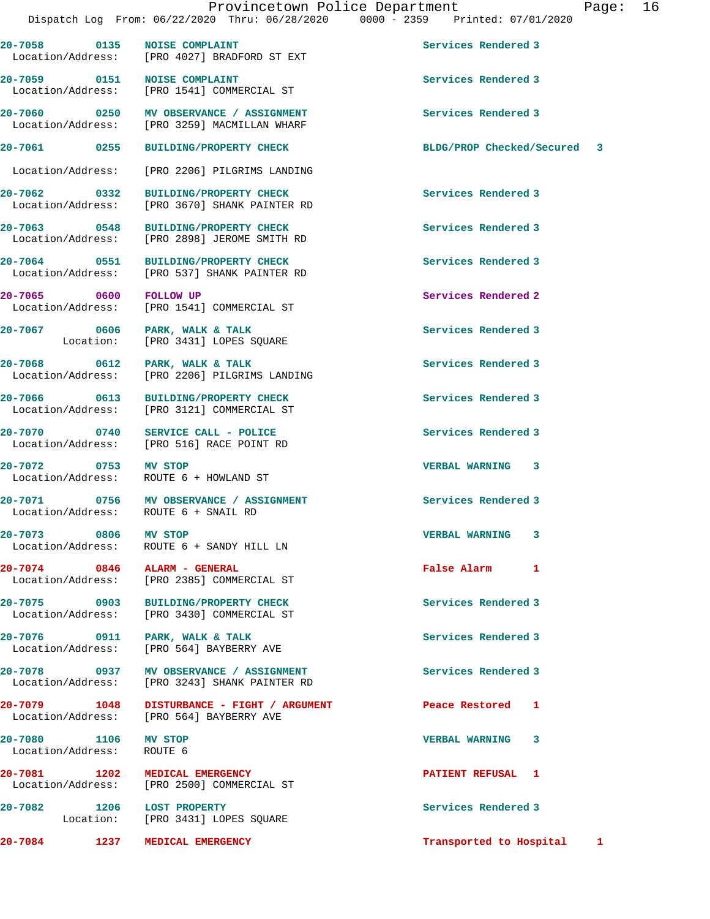**20-7058 0135 NOISE COMPLAINT Services Rendered 3** 

**20-7059 0151 NOISE COMPLAINT Services Rendered 3** 

Location/Address: [PRO 4027] BRADFORD ST EXT

 Location/Address: [PRO 1541] COMMERCIAL ST **20-7060 0250 MV OBSERVANCE / ASSIGNMENT Services Rendered 3**  Location/Address: [PRO 3259] MACMILLAN WHARF **20-7061 0255 BUILDING/PROPERTY CHECK BLDG/PROP Checked/Secured 3** Location/Address: [PRO 2206] PILGRIMS LANDING **20-7062 0332 BUILDING/PROPERTY CHECK Services Rendered 3**  Location/Address: [PRO 3670] SHANK PAINTER RD **20-7063 0548 BUILDING/PROPERTY CHECK Services Rendered 3**  Location/Address: [PRO 2898] JEROME SMITH RD **20-7064 0551 BUILDING/PROPERTY CHECK Services Rendered 3**  Location/Address: [PRO 537] SHANK PAINTER RD **20-7065 0600 FOLLOW UP Services Rendered 2**  Location/Address: [PRO 1541] COMMERCIAL ST 20-7067 0606 PARK, WALK & TALK **PARK Services Rendered 3 Location:** [PRO 3431] LOPES SQUARE [PRO 3431] LOPES SQUARE **20-7068 0612 PARK, WALK & TALK Services Rendered 3**  Location/Address: [PRO 2206] PILGRIMS LANDING **20-7066 0613 BUILDING/PROPERTY CHECK Services Rendered 3**  Location/Address: [PRO 3121] COMMERCIAL ST **20-7070 0740 SERVICE CALL - POLICE Services Rendered 3**  Location/Address: [PRO 516] RACE POINT RD **20-7072 0753 MV STOP VERBAL WARNING 3**  ROUTE 6 + HOWLAND ST **20-7071 0756 MV OBSERVANCE / ASSIGNMENT Services Rendered 3**  Location/Address: ROUTE 6 + SNAIL RD **20-7073 0806 MV STOP VERBAL WARNING 3**  Location/Address: ROUTE 6 + SANDY HILL LN **20-7074 0846 ALARM - GENERAL False Alarm 1**  Location/Address: [PRO 2385] COMMERCIAL ST **20-7075 0903 BUILDING/PROPERTY CHECK Services Rendered 3**  Location/Address: [PRO 3430] COMMERCIAL ST **20-7076 0911 PARK, WALK & TALK Services Rendered 3**  Location/Address: [PRO 564] BAYBERRY AVE **20-7078 0937 MV OBSERVANCE / ASSIGNMENT Services Rendered 3**  Location/Address: [PRO 3243] SHANK PAINTER RD **20-7079 1048 DISTURBANCE - FIGHT / ARGUMENT Peace Restored 1**  Location/Address: [PRO 564] BAYBERRY AVE **20-7080 1106 MV STOP VERBAL WARNING 3**  Location/Address: ROUTE 6 **20-7081 1202 MEDICAL EMERGENCY PATIENT REFUSAL 1**  Location/Address: [PRO 2500] COMMERCIAL ST **20-7082 1206 LOST PROPERTY Services Rendered 3**  [PRO 3431] LOPES SQUARE **20-7084 1237 MEDICAL EMERGENCY Transported to Hospital 1**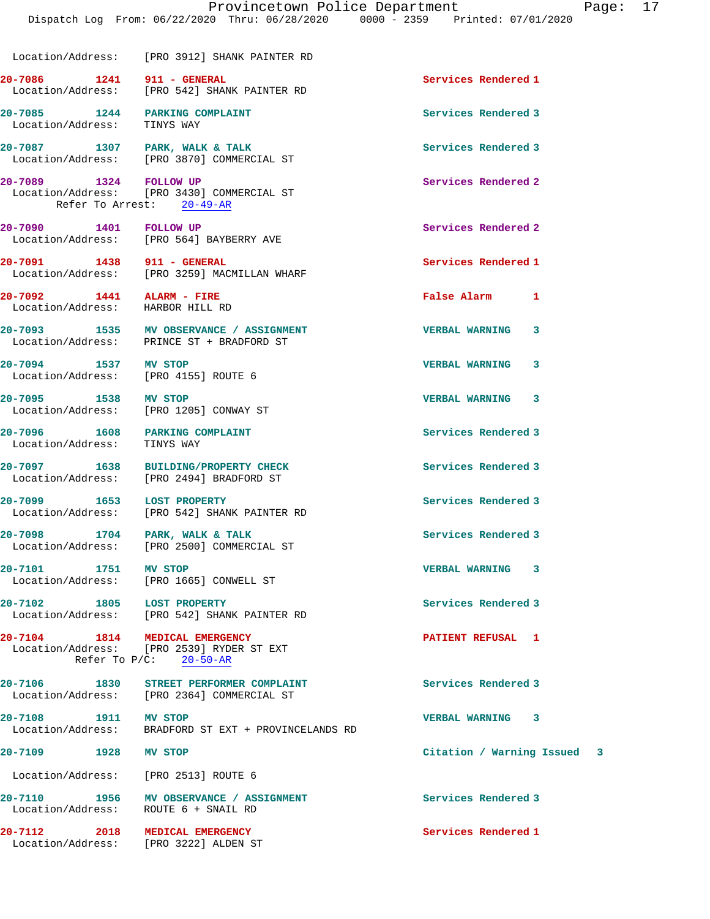|                                                                         | Location/Address: [PRO 3912] SHANK PAINTER RD                                         |                             |
|-------------------------------------------------------------------------|---------------------------------------------------------------------------------------|-----------------------------|
| 20-7086 1241 911 - GENERAL                                              | Location/Address: [PRO 542] SHANK PAINTER RD                                          | Services Rendered 1         |
| 20-7085 1244 PARKING COMPLAINT<br>Location/Address: TINYS WAY           |                                                                                       | Services Rendered 3         |
|                                                                         | 20-7087 1307 PARK, WALK & TALK<br>Location/Address: [PRO 3870] COMMERCIAL ST          | Services Rendered 3         |
| 20-7089 1324 FOLLOW UP                                                  | Location/Address: [PRO 3430] COMMERCIAL ST<br>Refer To Arrest: 20-49-AR               | Services Rendered 2         |
| 20-7090 1401 FOLLOW UP                                                  | Location/Address: [PRO 564] BAYBERRY AVE                                              | Services Rendered 2         |
| 20-7091 1438 911 - GENERAL                                              | Location/Address: [PRO 3259] MACMILLAN WHARF                                          | Services Rendered 1         |
| 20-7092 1441 ALARM - FIRE<br>Location/Address: HARBOR HILL RD           |                                                                                       | False Alarm 1               |
|                                                                         | 20-7093 1535 MV OBSERVANCE / ASSIGNMENT<br>Location/Address: PRINCE ST + BRADFORD ST  | <b>VERBAL WARNING</b><br>3  |
|                                                                         | 20-7094 1537 MV STOP<br>Location/Address: [PRO 4155] ROUTE 6                          | <b>VERBAL WARNING</b><br>3  |
|                                                                         | 20-7095 1538 MV STOP<br>Location/Address: [PRO 1205] CONWAY ST                        | <b>VERBAL WARNING 3</b>     |
| 20-7096 1608 PARKING COMPLAINT<br>Location/Address: TINYS WAY           |                                                                                       | Services Rendered 3         |
|                                                                         | 20-7097 1638 BUILDING/PROPERTY CHECK<br>Location/Address: [PRO 2494] BRADFORD ST      | Services Rendered 3         |
| 20-7099 1653 LOST PROPERTY                                              | Location/Address: [PRO 542] SHANK PAINTER RD                                          | Services Rendered 3         |
|                                                                         | 20-7098 1704 PARK, WALK & TALK<br>Location/Address: [PRO 2500] COMMERCIAL ST          | Services Rendered 3         |
| 20-7101 1751 MV STOP                                                    | Location/Address: [PRO 1665] CONWELL ST                                               | VERBAL WARNING 3            |
| 20-7102 1805 LOST PROPERTY                                              | Location/Address: [PRO 542] SHANK PAINTER RD                                          | Services Rendered 3         |
| 20-7104 1814 MEDICAL EMERGENCY                                          | Location/Address: [PRO 2539] RYDER ST EXT<br>Refer To $P/C$ : 20-50-AR                | PATIENT REFUSAL 1           |
|                                                                         | 20-7106 1830 STREET PERFORMER COMPLAINT<br>Location/Address: [PRO 2364] COMMERCIAL ST | Services Rendered 3         |
| 20-7108 1911 MV STOP                                                    | Location/Address: BRADFORD ST EXT + PROVINCELANDS RD                                  | VERBAL WARNING 3            |
| 20-7109 1928 MV STOP                                                    |                                                                                       | Citation / Warning Issued 3 |
| Location/Address: [PRO 2513] ROUTE 6                                    |                                                                                       |                             |
| Location/Address: ROUTE 6 + SNAIL RD                                    | 20-7110 1956 MV OBSERVANCE / ASSIGNMENT                                               | Services Rendered 3         |
| 20-7112 2018 MEDICAL EMERGENCY<br>Location/Address: [PRO 3222] ALDEN ST |                                                                                       | Services Rendered 1         |
|                                                                         |                                                                                       |                             |